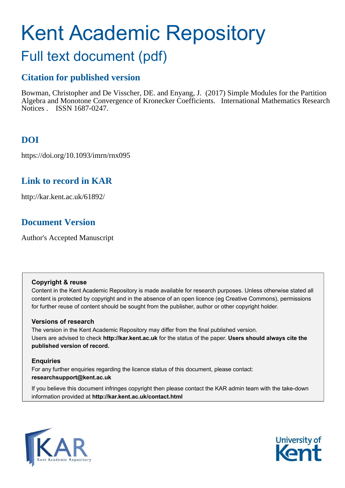# Kent Academic Repository

## Full text document (pdf)

### **Citation for published version**

Bowman, Christopher and De Visscher, DE. and Enyang, J. (2017) Simple Modules for the Partition Algebra and Monotone Convergence of Kronecker Coefficients. International Mathematics Research Notices . ISSN 1687-0247.

## **DOI**

https://doi.org/10.1093/imrn/rnx095

## **Link to record in KAR**

http://kar.kent.ac.uk/61892/

## **Document Version**

Author's Accepted Manuscript

#### **Copyright & reuse**

Content in the Kent Academic Repository is made available for research purposes. Unless otherwise stated all content is protected by copyright and in the absence of an open licence (eg Creative Commons), permissions for further reuse of content should be sought from the publisher, author or other copyright holder.

#### **Versions of research**

The version in the Kent Academic Repository may differ from the final published version. Users are advised to check **http://kar.kent.ac.uk** for the status of the paper. **Users should always cite the published version of record.**

#### **Enquiries**

For any further enquiries regarding the licence status of this document, please contact: **researchsupport@kent.ac.uk**

If you believe this document infringes copyright then please contact the KAR admin team with the take-down information provided at **http://kar.kent.ac.uk/contact.html**



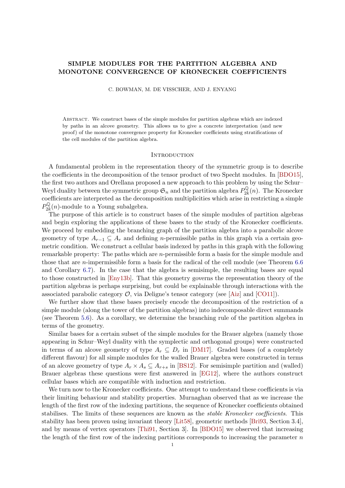#### SIMPLE MODULES FOR THE PARTITION ALGEBRA AND MONOTONE CONVERGENCE OF KRONECKER COEFFICIENTS

C. BOWMAN, M. DE VISSCHER, AND J. ENYANG

Abstract. We construct bases of the simple modules for partition algebras which are indexed by paths in an alcove geometry. This allows us to give a concrete interpretation (and new proof) of the monotone convergence property for Kronecker coefficients using stratifications of the cell modules of the partition algebra.

#### **INTRODUCTION**

A fundamental problem in the representation theory of the symmetric group is to describe the coefficients in the decomposition of the tensor product of two Specht modules. In [\[BDO15\]](#page-23-0), the first two authors and Orellana proposed a new approach to this problem by using the Schur– Weyl duality between the symmetric group  $\mathfrak{S}_n$  and the partition algebra  $P^{\mathbb{Q}}_{2k}$  $\sum_{2k}^{\infty}$ (*n*). The Kronecker coefficients are interpreted as the decomposition multiplicities which arise in restricting a simple  $P_{2k}^{\mathbb{Q}}$  $\frac{2k}{2k}(n)$ -module to a Young subalgebra.

The purpose of this article is to construct bases of the simple modules of partition algebras and begin exploring the applications of these bases to the study of the Kronecker coefficients. We proceed by embedding the branching graph of the partition algebra into a parabolic alcove geometry of type  $A_{r-1} \subseteq A_r$  and defining *n*-permissible paths in this graph via a certain geometric condition. We construct a cellular basis indexed by paths in this graph with the following remarkable property: The paths which are n-permissible form a basis for the simple module and those that are n-impermissible form a basis for the radical of the cell module (see Theorem [6.6](#page-19-0) and Corollary [6.7\)](#page-20-0). In the case that the algebra is semisimple, the resulting bases are equal to those constructed in [\[Eny13b\]](#page-24-0). That this geometry governs the representation theory of the partition algebras is perhaps surprising, but could be explainable through interactions with the associated parabolic category  $\mathcal{O}$ , via Deligne's tensor category (see [\[Aiz\]](#page-23-1) and [\[CO11\]](#page-23-2)).

We further show that these bases precisely encode the decomposition of the restriction of a simple module (along the tower of the partition algebras) into indecomposable direct summands (see Theorem [5.6\)](#page-16-0). As a corollary, we determine the branching rule of the partition algebra in terms of the geometry.

Similar bases for a certain subset of the simple modules for the Brauer algebra (namely those appearing in Schur–Weyl duality with the symplectic and orthogonal groups) were constructed in terms of an alcove geometry of type  $A_r \subseteq D_r$  in [\[DM17\]](#page-23-3). Graded bases (of a completely different flavour) for all simple modules for the walled Brauer algebra were constructed in terms of an alcove geometry of type  $A_r \times A_s \subseteq A_{r+s}$  in [\[BS12\]](#page-23-4). For semisimple partition and (walled) Brauer algebras these questions were first answered in [\[EG12\]](#page-24-1), where the authors construct cellular bases which are compatible with induction and restriction.

We turn now to the Kronecker coefficients. One attempt to understand these coefficients is via their limiting behaviour and stability properties. Murnaghan observed that as we increase the length of the first row of the indexing partitions, the sequence of Kronecker coefficients obtained stabilises. The limits of these sequences are known as the *stable Kronecker coefficients*. This stability has been proven using invariant theory [\[Lit58\]](#page-24-2), geometric methods [\[Bri93,](#page-23-5) Section 3.4], and by means of vertex operators [\[Thi91,](#page-24-3) Section 3]. In [\[BDO15\]](#page-23-0) we observed that increasing the length of the first row of the indexing partitions corresponds to increasing the parameter  $n$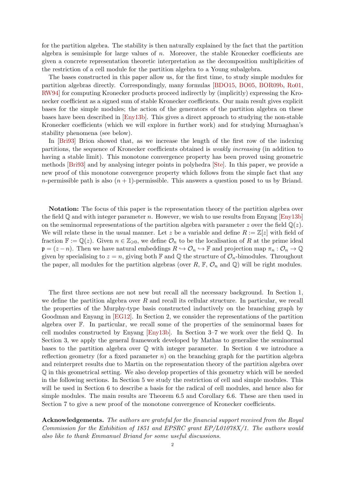for the partition algebra. The stability is then naturally explained by the fact that the partition algebra is semisimple for large values of  $n$ . Moreover, the stable Kronecker coefficients are given a concrete representation theoretic interpretation as the decomposition multiplicities of the restriction of a cell module for the partition algebra to a Young subalgebra.

The bases constructed in this paper allow us, for the first time, to study simple modules for partition algebras directly. Correspondingly, many formulas [\[BDO15,](#page-23-0) [BO05,](#page-23-6) [BOR09b,](#page-23-7) [Ro01,](#page-24-4) [RW94\]](#page-24-5) for computing Kronecker products proceed indirectly by (implicitly) expressing the Kronecker coefficient as a signed sum of stable Kronecker coefficients. Our main result gives explicit bases for the simple modules; the action of the generators of the partition algebra on these bases have been described in [\[Eny13b\]](#page-24-0). This gives a direct approach to studying the non-stable Kronecker coefficients (which we will explore in further work) and for studying Murnaghan's stability phenomena (see below).

In [\[Bri93\]](#page-23-5) Brion showed that, as we increase the length of the first row of the indexing partitions, the sequence of Kronecker coefficients obtained is weakly increasing (in addition to having a stable limit). This monotone convergence property has been proved using geometric methods [\[Bri93\]](#page-23-5) and by analysing integer points in polyhedra [\[Ste\]](#page-24-6). In this paper, we provide a new proof of this monotone convergence property which follows from the simple fact that any *n*-permissible path is also  $(n + 1)$ -permissible. This answers a question posed to us by Briand.

<span id="page-2-0"></span>Notation: The focus of this paper is the representation theory of the partition algebra over the field  $\mathbb Q$  and with integer parameter n. However, we wish to use results from Enyang [\[Eny13b\]](#page-24-0) on the seminormal representations of the partition algebra with parameter z over the field  $\mathbb{Q}(z)$ . We will relate these in the usual manner. Let z be a variable and define  $R := \mathbb{Z}[z]$  with field of fraction  $\mathbb{F} := \mathbb{Q}(z)$ . Given  $n \in \mathbb{Z}_{\geqslant 0}$ , we define  $\mathcal{O}_n$  to be the localisation of R at the prime ideal  $\mathfrak{p} = (z - n)$ . Then we have natural embeddings  $R \hookrightarrow \mathcal{O}_n \hookrightarrow \mathbb{F}$  and projection map  $\pi_n : \mathcal{O}_n \to \mathbb{Q}$ given by specialising to  $z = n$ , giving both F and Q the structure of  $\mathcal{O}_n$ -bimodules. Throughout the paper, all modules for the partition algebras (over R, F,  $\mathcal{O}_n$  and Q) will be right modules.

The first three sections are not new but recall all the necessary background. In Section 1, we define the partition algebra over  $R$  and recall its cellular structure. In particular, we recall the properties of the Murphy-type basis constructed inductively on the branching graph by Goodman and Enyang in [\[EG12\]](#page-24-1). In Section 2, we consider the representations of the partition algebra over F. In particular, we recall some of the properties of the seminormal bases for cell modules constructed by Enyang [\[Eny13b\]](#page-24-0). In Section 3–7 we work over the field Q. In Section 3, we apply the general framework developed by Mathas to generalise the seminormal bases to the partition algebra over  $\mathbb Q$  with integer parameter. In Section 4 we introduce a reflection geometry (for a fixed parameter  $n$ ) on the branching graph for the partition algebra and reinterpret results due to Martin on the representation theory of the partition algebra over Q in this geometrical setting. We also develop properties of this geometry which will be needed in the following sections. In Section 5 we study the restriction of cell and simple modules. This will be used in Section 6 to describe a basis for the radical of cell modules, and hence also for simple modules. The main results are Theorem 6.5 and Corollary 6.6. These are then used in Section 7 to give a new proof of the monotone convergence of Kronecker coefficients.

Acknowledgements. The authors are grateful for the financial support received from the Royal Commission for the Exhibition of 1851 and EPSRC grant EP/L01078X/1. The authors would also like to thank Emmanuel Briand for some useful discussions.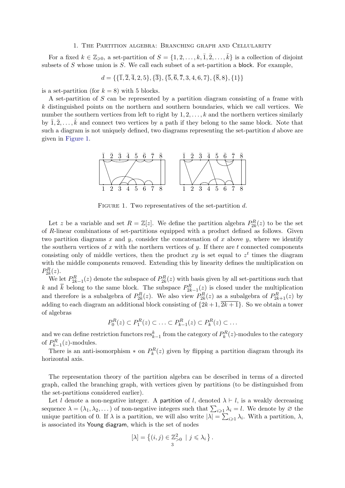#### 1. The Partition algebra: Branching graph and Cellularity

For a fixed  $k \in \mathbb{Z}_{\geqslant 0}$ , a set-partition of  $S = \{1, 2, \ldots, k, \overline{1}, \overline{2}, \ldots, \overline{k}\}$  is a collection of disjoint subsets of  $S$  whose union is  $S$ . We call each subset of a set-partition a block. For example,

$$
d = \{\{\overline{1}, \overline{2}, \overline{4}, 2, 5\}, \{\overline{3}\}, \{\overline{5}, \overline{6}, \overline{7}, 3, 4, 6, 7\}, \{\overline{8}, 8\}, \{1\}\}\
$$

is a set-partition (for  $k = 8$ ) with 5 blocks.

A set-partition of S can be represented by a partition diagram consisting of a frame with  $k$  distinguished points on the northern and southern boundaries, which we call vertices. We number the southern vertices from left to right by  $1, 2, \ldots, k$  and the northern vertices similarly by  $\overline{1}, \overline{2}, \ldots, \overline{k}$  and connect two vertices by a path if they belong to the same block. Note that such a diagram is not uniquely defined, two diagrams representing the set-partition d above are given in [Figure 1.](#page-2-0)



FIGURE 1. Two representatives of the set-partition  $d$ .

Let z be a variable and set  $R = \mathbb{Z}[z]$ . We define the partition algebra  $P_{2k}^R(z)$  to be the set of R-linear combinations of set-partitions equipped with a product defined as follows. Given two partition diagrams x and y, consider the concatenation of x above y, where we identify the southern vertices of  $x$  with the northern vertices of  $y$ . If there are  $t$  connected components consisting only of middle vertices, then the product  $xy$  is set equal to  $z<sup>t</sup>$  times the diagram with the middle components removed. Extending this by linearity defines the multiplication on  $P_{2k}^R(z)$ .

We let  $P_{2k-1}^R(z)$  denote the subspace of  $P_{2k}^R(z)$  with basis given by all set-partitions such that k and  $\bar{k}$  belong to the same block. The subspace  $P_{2k-1}^R(z)$  is closed under the multiplication and therefore is a subalgebra of  $P_{2k}^{R}(z)$ . We also view  $P_{2k}^{R}(z)$  as a subalgebra of  $P_{2k+1}^{R}(z)$  by adding to each diagram an additional block consisting of  $\{2k+1, 2k+1\}$ . So we obtain a tower of algebras

<span id="page-3-0"></span>
$$
P_0^R(z) \subset P_1^R(z) \subset \ldots \subset P_{k-1}^R(z) \subset P_k^R(z) \subset \ldots
$$

and we can define restriction functors  $res_{k-1}^k$  from the category of  $P_k^R(z)$ -modules to the category of  $P_{k-1}^R(z)$ -modules.

There is an anti-isomorphism  $*$  on  $P_k^R(z)$  given by flipping a partition diagram through its horizontal axis.

The representation theory of the partition algebra can be described in terms of a directed graph, called the branching graph, with vertices given by partitions (to be distinguished from the set-partitions considered earlier).

<span id="page-3-1"></span>Let l denote a non-negative integer. A partition of l, denoted  $\lambda \vdash l$ , is a weakly decreasing sequence  $\lambda = (\lambda_1, \lambda_2, \dots)$  of non-negative integers such that  $\sum_{i \geq 1} \lambda_i = l$ . We denote by  $\varnothing$  the unique partition of 0. If  $\lambda$  is a partition, we will also write  $|\lambda| = \sum_{i \geq 1} \lambda_i$ . With a partition,  $\lambda$ , is associated its Young diagram, which is the set of nodes

$$
[\lambda] = \left\{ (i, j) \in \mathbb{Z}_{>0}^2 \mid j \leq \lambda_i \right\}.
$$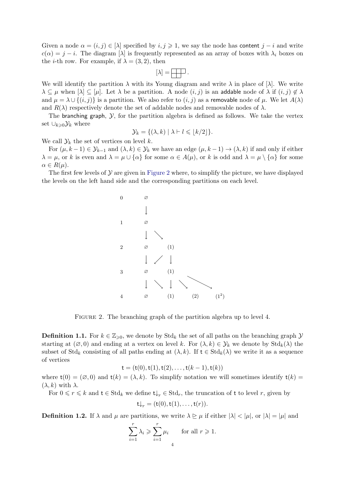Given a node  $\alpha = (i, j) \in [\lambda]$  specified by  $i, j \geq 1$ , we say the node has content  $j - i$  and write  $c(\alpha) = j - i$ . The diagram [ $\lambda$ ] is frequently represented as an array of boxes with  $\lambda_i$  boxes on the *i*-th row. For example, if  $\lambda = (3, 2)$ , then

$$
[\lambda]=\boxed{\phantom{a}}\ .
$$

We will identify the partition  $\lambda$  with its Young diagram and write  $\lambda$  in place of  $[\lambda]$ . We write  $\lambda \subseteq \mu$  when  $[\lambda] \subseteq [\mu]$ . Let  $\lambda$  be a partition. A node  $(i, j)$  is an addable node of  $\lambda$  if  $(i, j) \notin \lambda$ and  $\mu = \lambda \cup \{(i, j)\}\$ is a partition. We also refer to  $(i, j)$  as a removable node of  $\mu$ . We let  $A(\lambda)$ and  $R(\lambda)$  respectively denote the set of addable nodes and removable nodes of  $\lambda$ .

The branching graph,  $\mathcal{Y}$ , for the partition algebra is defined as follows. We take the vertex set  $\cup_{k\geq 0} \mathcal{Y}_k$  where

$$
\mathcal{Y}_k = \{ (\lambda, k) \mid \lambda \vdash l \leqslant \lfloor k/2 \rfloor \}.
$$

We call  $\mathcal{Y}_k$  the set of vertices on level k.

For  $(\mu, k-1) \in \mathcal{Y}_{k-1}$  and  $(\lambda, k) \in \mathcal{Y}_k$  we have an edge  $(\mu, k-1) \to (\lambda, k)$  if and only if either  $\lambda = \mu$ , or k is even and  $\lambda = \mu \cup {\alpha}$  for some  $\alpha \in A(\mu)$ , or k is odd and  $\lambda = \mu \setminus {\alpha}$  for some  $\alpha \in R(\mu)$ .

The first few levels of  $\mathcal Y$  are given in [Figure 2](#page-3-0) where, to simplify the picture, we have displayed the levels on the left hand side and the corresponding partitions on each level.

<span id="page-4-0"></span>

<span id="page-4-1"></span>FIGURE 2. The branching graph of the partition algebra up to level 4.

**Definition 1.1.** For  $k \in \mathbb{Z}_{\geq 0}$ , we denote by  $\text{Std}_k$  the set of all paths on the branching graph  $\mathcal{Y}$ starting at  $(\emptyset,0)$  and ending at a vertex on level k. For  $(\lambda, k) \in \mathcal{Y}_k$  we denote by  $\mathrm{Std}_k(\lambda)$  the subset of  $\text{Std}_k$  consisting of all paths ending at  $(\lambda, k)$ . If  $t \in \text{Std}_k(\lambda)$  we write it as a sequence of vertices

$$
\mathsf{t} = (\mathsf{t}(0), \mathsf{t}(1), \mathsf{t}(2), \dots, \mathsf{t}(k-1), \mathsf{t}(k))
$$

where  $t(0) = (\emptyset, 0)$  and  $t(k) = (\lambda, k)$ . To simplify notation we will sometimes identify  $t(k) =$  $(\lambda, k)$  with  $\lambda$ .

For  $0 \leq r \leq k$  and  $t \in \text{Std}_k$  we define  $t\downarrow_r \in \text{Std}_r$ , the truncation of t to level r, given by

$$
\mathsf{t}\downarrow_r = (\mathsf{t}(0), \mathsf{t}(1), \ldots, \mathsf{t}(r)).
$$

**Definition 1.2.** If  $\lambda$  and  $\mu$  are partitions, we write  $\lambda \geq \mu$  if either  $|\lambda| < |\mu|$ , or  $|\lambda| = |\mu|$  and

$$
\sum_{i=1}^{r} \lambda_i \geqslant \sum_{i=1}^{r} \mu_i \quad \text{for all } r \geqslant 1.
$$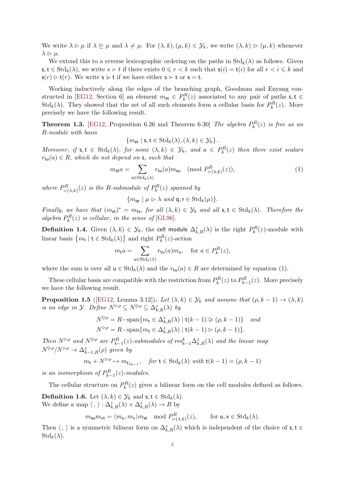We write  $\lambda \triangleright \mu$  if  $\lambda \trianglerighteq \mu$  and  $\lambda \neq \mu$ . For  $(\lambda, k), (\mu, k) \in \mathcal{Y}_k$ , we write  $(\lambda, k) \trianglerighteq (\mu, k)$  whenever  $\lambda \triangleright \mu$ .

We extend this to a reverse lexicographic ordering on the paths in  $Std_k(\lambda)$  as follows. Given  $s, t \in \text{Std}_{k}(\lambda)$ , we write  $s \succ t$  if there exists  $0 \leq r < k$  such that  $s(i) = t(i)$  for all  $r \leq i \leq k$  and  $\mathsf{s}(r) \triangleright \mathsf{t}(r)$ . We write  $\mathsf{s} \succcurlyeq \mathsf{t}$  if we have either  $\mathsf{s} \succ \mathsf{t}$  or  $\mathsf{s} = \mathsf{t}$ .

Working inductively along the edges of the branching graph, Goodman and Enyang con-structed in [\[EG12,](#page-24-1) Section 6] an element  $m_{st} \in P_k^R(z)$  associated to any pair of paths  $s, t \in$  $\text{Std}_k(\lambda)$ . They showed that the set of all such elements form a cellular basis for  $P_k^R(z)$ . More precisely we have the following result.

**Theorem 1.3.** [\[EG12,](#page-24-1) Proposition 6.26 and Theorem 6.30] The algebra  $P_k^R(z)$  is free as an R-module with basis

 ${m_{\text{st}} | \text{s}, \text{t} \in \text{Std}_k(\lambda), (\lambda, k) \in \mathcal{Y}_k}.$ 

Moreover, if  $s, t \in \text{Std}_k(\lambda)$ , for some  $(\lambda, k) \in \mathcal{Y}_k$ , and  $a \in P_k^R(z)$  then there exist scalars  $r_{tu}(a) \in R$ , which do not depend on s, such that

$$
m_{\mathsf{st}}a = \sum_{\mathsf{u}\in \text{Std}_k(\lambda)} r_{\mathsf{tu}}(a) m_{\mathsf{su}} \pmod{P^R_{\triangleright(\lambda,k)}(z)},\tag{1}
$$

where  $P_{\triangleright(\lambda,k)}^R(z)$  is the R-submodule of  $P_k^R(z)$  spanned by

 ${m_{\text{qr}} \mid \mu \triangleright \lambda \text{ and } \mathsf{q}, \mathsf{r} \in \text{Std}_k(\mu) }$ .

Finally, we have that  $(m_{st})^* = m_{ts}$ , for all  $(\lambda, k) \in \mathcal{Y}_k$  and all  $s, t \in Std_k(\lambda)$ . Therefore the algebra  $P_k^R(z)$  is cellular, in the sense of [\[GL96\]](#page-24-7).

<span id="page-5-0"></span>**Definition 1.4.** Given  $(\lambda, k) \in \mathcal{Y}_k$ , the cell module  $\Delta^z_{k,R}(\lambda)$  is the right  $P_k^R(z)$ -module with linear basis  $\{m_t | t \in \text{Std}_k(\lambda)\}\$ and right  $P_k^R(z)$ -action

$$
m_{\mathsf{t}} a = \sum_{\mathsf{u} \in \text{Std}_k(\lambda)} r_{\mathsf{tu}}(a) m_{\mathsf{u}}, \quad \text{for } a \in P_k^R(z),
$$

where the sum is over all  $u \in \text{Std}_k(\lambda)$  and the  $r_{tu}(a) \in R$  are determined by equation [\(1\)](#page-4-0).

These cellular basis are compatible with the restriction from  $P_k^R(z)$  to  $P_{k-1}^R(z)$ . More precisely we have the following result.

**Proposition 1.5** ([\[EG12,](#page-24-1) Lemma 3.12]). Let  $(\lambda, k) \in \mathcal{Y}_k$  and assume that  $(\rho, k - 1) \to (\lambda, k)$ is an edge in  $\mathcal{Y}$ . Define  $N^{\triangleright\rho} \subseteq N^{\triangleright\rho} \subseteq \Delta^z_{k,R}(\lambda)$  by

$$
N^{\geqslant \rho} = R - \operatorname{span}\{m_{\mathbf{t}} \in \Delta_{k,R}^z(\lambda) \mid \mathbf{t}(k-1) \geqslant (\rho, k-1)\} \quad \text{and}
$$
  

$$
N^{\geqslant \rho} = R - \operatorname{span}\{m_{\mathbf{t}} \in \Delta_{k,R}^z(\lambda) \mid \mathbf{t}(k-1) \supset (\rho, k-1)\}.
$$

Then  $N^{\triangleright\rho}$  and  $N^{\triangleright\rho}$  are  $P_{k-1}^R(z)$ -submodules of  $\operatorname{res}_{k-1}^k \Delta_{k,R}^z(\lambda)$  and the linear map  $N^{\triangleright\rho}/N^{\triangleright\rho} \rightarrow \Delta^z_{k-1,R}(\rho)$  given by

$$
m_{\mathsf{t}} + N^{\rhd\rho} \mapsto m_{\mathsf{t}\downarrow_{k-1}}, \quad \textit{for $\mathsf{t}\in \text{Std}_k(\lambda)$ with $\mathsf{t}(k-1)=(\rho,k-1)$}
$$

is an isomorphism of  $P_{k-1}^R(z)$ -modules.

The cellular structure on  $P_k^R(z)$  gives a bilinear form on the cell modules defined as follows. **Definition 1.6.** Let  $(\lambda, k) \in \mathcal{Y}_k$  and  $s, t \in \text{Std}_k(\lambda)$ .

We define a map  $\langle , \rangle : \Delta^z_{k,R}(\lambda) \times \Delta^z_{k,R}(\lambda) \to R$  by

 $m_{\mathsf{su}} m_{\mathsf{vt}} = \langle m_{\mathsf{u}}, m_{\mathsf{v}} \rangle m_{\mathsf{st}} \mod P_{\triangleright(\lambda,k)}^R(z), \quad \text{for } \mathsf{u}, \mathsf{v} \in \text{Std}_k(\lambda).$ 

<span id="page-5-1"></span>Then  $\langle , \rangle$  is a symmetric bilinear form on  $\Delta^z_{k,R}(\lambda)$  which is independent of the choice of s,t ∈  $\mathrm{Std}_k(\lambda)$ .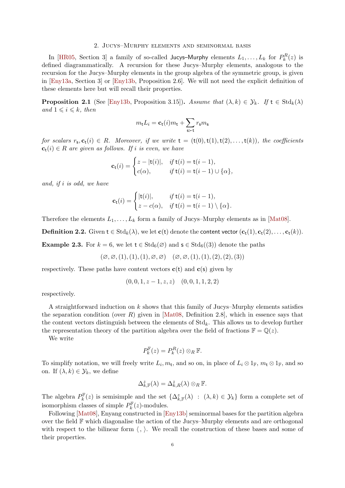#### 2. Jucys–Murphy elements and seminormal basis

In [\[HR05,](#page-24-8) Section 3] a family of so-called Jucys-Murphy elements  $L_1, \ldots, L_k$  for  $P_k^R(z)$  is defined diagrammatically. A recursion for these Jucys–Murphy elements, analogous to the recursion for the Jucys–Murphy elements in the group algebra of the symmetric group, is given in [\[Eny13a,](#page-24-9) Section 3] or [\[Eny13b,](#page-24-0) Proposition 2.6]. We will not need the explicit definition of these elements here but will recall their properties.

<span id="page-6-1"></span>**Proposition 2.1** (See [\[Eny13b,](#page-24-0) Proposition 3.15]). Assume that  $(\lambda, k) \in \mathcal{Y}_k$ . If  $t \in \text{Std}_k(\lambda)$ and  $1 \leq i \leq k$ , then

$$
m_{\mathbf{t}}L_i = \mathbf{c}_{\mathbf{t}}(i)m_{\mathbf{t}} + \sum_{\mathbf{s}\succ\mathbf{t}} r_{\mathbf{s}}m_{\mathbf{s}}
$$

for scalars  $r_s, c_t(i) \in R$ . Moreover, if we write  $t = (t(0), t(1), t(2), \ldots, t(k))$ , the coefficients  $\mathbf{c}_t(i) \in R$  are given as follows. If i is even, we have

$$
\mathbf{c}_{\mathsf{t}}(i) = \begin{cases} z - |\mathsf{t}(i)|, & \text{if } \mathsf{t}(i) = \mathsf{t}(i-1), \\ c(\alpha), & \text{if } \mathsf{t}(i) = \mathsf{t}(i-1) \cup \{\alpha\}, \end{cases}
$$

and, if i is odd, we have

$$
\mathbf{c}_{\mathsf{t}}(i) = \begin{cases} |\mathsf{t}(i)|, & \text{if } \mathsf{t}(i) = \mathsf{t}(i-1), \\ z - c(\alpha), & \text{if } \mathsf{t}(i) = \mathsf{t}(i-1) \setminus \{\alpha\}. \end{cases}
$$

Therefore the elements  $L_1, \ldots, L_k$  form a family of Jucys–Murphy elements as in [\[Mat08\]](#page-24-10).

<span id="page-6-2"></span>**Definition 2.2.** Given  $t \in \text{Std}_k(\lambda)$ , we let  $c(t)$  denote the content vector  $(c_t(1), c_t(2), \ldots, c_t(k))$ .

**Example 2.3.** For  $k = 6$ , we let  $t \in \text{Std}_6(\emptyset)$  and  $s \in \text{Std}_6((3))$  denote the paths

$$
(\varnothing, \varnothing, (1), (1), (1), \varnothing, \varnothing) \quad (\varnothing, \varnothing, (1), (1), (2), (2), (3))
$$

respectively. These paths have content vectors  $c(t)$  and  $c(s)$  given by

$$
(0,0,1,z-1,z,z) \quad (0,0,1,1,2,2)
$$

respectively.

A straightforward induction on  $k$  shows that this family of Jucys–Murphy elements satisfies the separation condition (over  $R$ ) given in [\[Mat08,](#page-24-10) Definition 2.8], which in essence says that the content vectors distinguish between the elements of  $Std_k$ . This allows us to develop further the representation theory of the partition algebra over the field of fractions  $\mathbb{F} = \mathbb{Q}(z)$ .

We write

$$
P_k^{\mathbb{F}}(z) = P_k^R(z) \otimes_R \mathbb{F}.
$$

<span id="page-6-0"></span>To simplify notation, we will freely write  $L_i, m_t$ , and so on, in place of  $L_i \otimes 1_F$ ,  $m_t \otimes 1_F$ , and so on. If  $(\lambda, k) \in \mathcal{Y}_k$ , we define

$$
\Delta_{k,\mathbb{F}}^z(\lambda) = \Delta_{k,R}^z(\lambda) \otimes_R \mathbb{F}.
$$

The algebra  $P_k^{\mathbb{F}}(z)$  is semisimple and the set  $\{\Delta_{k,\mathbb{F}}^z(\lambda) : (\lambda,k) \in \mathcal{Y}_k\}$  form a complete set of isomorphism classes of simple  $P_k^{\mathbb{F}}(z)$ -modules.

Following [\[Mat08\]](#page-24-10), Enyang constructed in [\[Eny13b\]](#page-24-0) seminormal bases for the partition algebra over the field F which diagonalise the action of the Jucys–Murphy elements and are orthogonal with respect to the bilinear form  $\langle , \rangle$ . We recall the construction of these bases and some of their properties.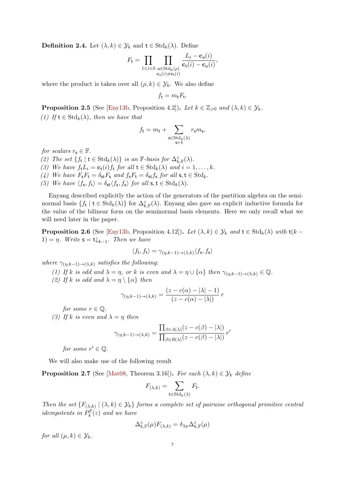**Definition 2.4.** Let  $(\lambda, k) \in \mathcal{Y}_k$  and  $t \in \text{Std}_k(\lambda)$ . Define

$$
F_{\mathsf{t}} = \prod_{1 \leqslant i \leqslant k} \prod_{\substack{\mathsf{u} \in \mathrm{Std}_k(\rho) \\ \mathbf{c}_{\mathsf{u}}(i) \neq \mathbf{c}_{\mathsf{t}}(i)}} \frac{L_i - \mathbf{c}_{\mathsf{u}}(i)}{\mathbf{c}_{\mathsf{t}}(i) - \mathbf{c}_{\mathsf{u}}(i)},
$$

where the product is taken over all  $(\rho, k) \in \mathcal{Y}_k$ . We also define

$$
f_{\mathsf{t}} = m_{\mathsf{t}} F_{\mathsf{t}}.
$$

**Proposition 2.5** (See [\[Eny13b,](#page-24-0) Proposition 4.2]). Let  $k \in \mathbb{Z}_{\geqslant 0}$  and  $(\lambda, k) \in \mathcal{Y}_k$ . (1) If  $t \in \text{Std}_k(\lambda)$ , then we have that

$$
f_{\mathbf{t}} = m_{\mathbf{t}} + \sum_{\substack{\mathbf{s} \in \mathrm{Std}_k(\lambda) \\ \mathbf{s} \succ \mathbf{t}}} r_{\mathbf{s}} m_{\mathbf{s}},
$$

for scalars  $r_s \in \mathbb{F}$ .

- (2) The set  $\{f_t \mid t \in \text{Std}_k(\lambda)\}\$ is an F-basis for  $\Delta^z_{k,\mathbb{F}}(\lambda)$ .
- (3) We have  $f_t L_i = \mathbf{c}_t(i) f_t$  for all  $t \in \text{Std}_k(\lambda)$  and  $i = 1, ..., k$ .
- (4) We have  $F_{\mathbf{s}}F_{\mathbf{t}} = \delta_{\mathbf{s}\mathbf{t}}F_{\mathbf{s}}$  and  $f_{\mathbf{s}}F_{\mathbf{t}} = \delta_{\mathbf{s}\mathbf{t}}f_{\mathbf{s}}$  for all  $\mathbf{s}, \mathbf{t} \in \text{Std}_k$ .
- (5) We have  $\langle f_s, f_t \rangle = \delta_{st} \langle f_s, f_s \rangle$  for all  $s, t \in \text{Std}_k(\lambda)$ .

Enyang described explicitly the action of the generators of the partition algebra on the seminormal basis  $\{f_t \mid t \in \text{Std}_k(\lambda)\}\$  for  $\Delta^z_{k,\mathbb{F}}(\lambda)$ . Enyang also gave an explicit inductive formula for the value of the bilinear form on the seminormal basis elements. Here we only recall what we will need later in the paper.

**Proposition 2.6** (See [\[Eny13b,](#page-24-0) Proposition 4.12]). Let  $(\lambda, k) \in \mathcal{Y}_k$  and  $t \in \text{Std}_k(\lambda)$  with  $t(k - k)$ 1) =  $\eta$ . Write  $\mathsf{s} = \mathsf{t} \downarrow_{k-1}$ . Then we have

$$
\langle f_{\mathsf{t}}, f_{\mathsf{t}} \rangle = \gamma_{(\eta, k-1) \to (\lambda, k)} \langle f_{\mathsf{s}}, f_{\mathsf{s}} \rangle
$$

where  $\gamma_{(\eta,k-1)\to(\lambda,k)}$  satisfies the following:

- (1) If k is odd and  $\lambda = \eta$ , or k is even and  $\lambda = \eta \cup {\alpha}$  then  $\gamma_{(\eta,k-1)\to(\lambda,k)} \in \mathbb{Q}$ .
- (2) If k is odd and  $\lambda = \eta \setminus {\alpha}$  then

$$
\gamma_{(\eta,k-1)\to(\lambda,k)} = \frac{(z - c(\alpha) - |\lambda| - 1)}{(z - c(\alpha) - |\lambda|)} r
$$

for some  $r \in \mathbb{Q}$ .

(3) If k is even and  $\lambda = \eta$  then

$$
\gamma_{(\eta,k-1)\to(\lambda,k)} = \frac{\prod_{\beta \in A(\lambda)} (z - c(\beta) - |\lambda|)}{\prod_{\beta \in R(\lambda)} (z - c(\beta) - |\lambda|)} r'
$$

<span id="page-7-0"></span>for some  $r' \in \mathbb{Q}$ .

We will also make use of the following result

**Proposition 2.7** (See [\[Mat08,](#page-24-10) Theorem 3.16]). For each  $(\lambda, k) \in \mathcal{Y}_k$  define

$$
F_{(\lambda,k)} = \sum_{\mathsf{t} \in \text{Std}_k(\lambda)} F_{\mathsf{t}}.
$$

Then the set  $\{F_{(\lambda,k)} \mid (\lambda,k) \in \mathcal{Y}_k\}$  forms a complete set of pairwise orthogonal primitive central idempotents in  $P_k^{\mathbb{F}}(z)$  and we have

$$
\Delta_{k,\mathbb{F}}^{z}(\mu)F_{(\lambda,k)}=\delta_{\lambda\mu}\Delta_{k,\mathbb{F}}^{z}(\mu)
$$

for all  $(u, k) \in \mathcal{Y}_k$ .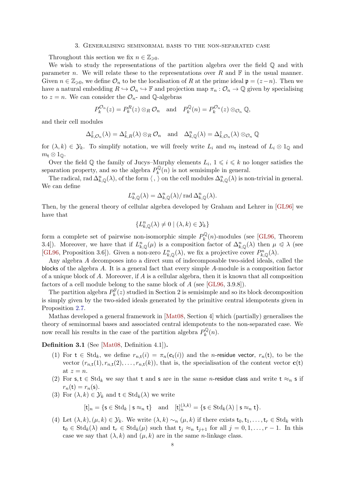#### 3. Generalising seminormal basis to the non-separated case

Throughout this section we fix  $n \in \mathbb{Z}_{\geqslant 0}$ .

We wish to study the representations of the partition algebra over the field  $\mathbb Q$  and with parameter n. We will relate these to the representations over R and  $\mathbb F$  in the usual manner. Given  $n \in \mathbb{Z}_{\geqslant 0}$ , we define  $\mathcal{O}_n$  to be the localisation of R at the prime ideal  $\mathfrak{p} = (z - n)$ . Then we have a natural embedding  $R \hookrightarrow \mathcal{O}_n \hookrightarrow \mathbb{F}$  and projection map  $\pi_n : \mathcal{O}_n \to \mathbb{Q}$  given by specialising to  $z = n$ . We can consider the  $\mathcal{O}_{n}$ - and Q-algebras

$$
P_k^{\mathcal{O}_n}(z) = P_k^R(z) \otimes_R \mathcal{O}_n \quad \text{and} \quad P_k^{\mathbb{Q}}(n) = P_k^{\mathcal{O}_n}(z) \otimes_{\mathcal{O}_n} \mathbb{Q},
$$

and their cell modules

$$
\Delta_{k,\mathcal{O}_n}^z(\lambda) = \Delta_{k,R}^z(\lambda) \otimes_R \mathcal{O}_n \quad \text{and} \quad \Delta_{k,\mathbb{Q}}^n(\lambda) = \Delta_{k,\mathcal{O}_n}^z(\lambda) \otimes_{\mathcal{O}_n} \mathbb{Q}
$$

for  $(\lambda, k) \in \mathcal{Y}_k$ . To simplify notation, we will freely write  $L_i$  and  $m_t$  instead of  $L_i \otimes 1_{\mathbb{Q}}$  and  $m_{\mathsf{t}} \otimes 1_{\mathbb{Q}}$ .

Over the field Q the family of Jucys-Murphy elements  $L_i$ ,  $1 \leq i \leq k$  no longer satisfies the separation property, and so the algebra  $P_k^{\mathbb{Q}}$  $\int_k^{\infty}(n)$  is not semisimple in general.

The radical, rad  $\Delta_{k,\mathbb{Q}}^n(\lambda)$ , of the form  $\langle , \rangle$  on the cell modules  $\Delta_{k,\mathbb{Q}}^n(\lambda)$  is non-trivial in general. We can define

<span id="page-8-0"></span>
$$
L_{k,\mathbb{Q}}^n(\lambda) = \Delta_{k,\mathbb{Q}}^n(\lambda) / \operatorname{rad} \Delta_{k,\mathbb{Q}}^n(\lambda).
$$

<span id="page-8-4"></span>Then, by the general theory of cellular algebra developed by Graham and Lehrer in [\[GL96\]](#page-24-7) we have that

<span id="page-8-2"></span>
$$
\{L_{k,\mathbb{Q}}^n(\lambda)\neq 0\mid (\lambda,k)\in\mathcal{Y}_k\}
$$

form a complete set of pairwise non-isomorphic simple  $P_k^{\mathbb{Q}}$  $\int_k^{\infty}(n)$ -modules (see [\[GL96,](#page-24-7) Theorem 3.4]). Moreover, we have that if  $L_{k,\mathbb{Q}}^n(\mu)$  is a composition factor of  $\Delta_{k,\mathbb{Q}}^n(\lambda)$  then  $\mu \leq \lambda$  (see [\[GL96,](#page-24-7) Proposition 3.6]). Given a non-zero  $L_{k,\mathbb{Q}}^n(\lambda)$ , we fix a projective cover  $P_{k,\mathbb{Q}}^n(\lambda)$ .

Any algebra A decomposes into a direct sum of indecomposable two-sided ideals, called the blocks of the algebra A. It is a general fact that every simple A-module is a composition factor of a unique block of A. Moreover, if A is a cellular algebra, then it is known that all composition factors of a cell module belong to the same block of  $A$  (see [\[GL96,](#page-24-7) 3.9.8]).

<span id="page-8-5"></span>The partition algebra  $P_k^{\mathbb{F}}(z)$  studied in Section 2 is semisimple and so its block decomposition is simply given by the two-sided ideals generated by the primitive central idempotents given in Proposition [2.7.](#page-6-0)

<span id="page-8-3"></span>Mathas developed a general framework in [\[Mat08,](#page-24-10) Section 4] which (partially) generalises the theory of seminormal bases and associated central idempotents to the non-separated case. We now recall his results in the case of the partition algebra  $P_k^{\mathbb{Q}}$  $\ell_k^{\mathcal{P}}(n)$ .

Definition 3.1 (See [\[Mat08,](#page-24-10) Definition 4.1]).

- (1) For  $t \in Std_k$ , we define  $r_{n,t}(i) = \pi_n(c_t(i))$  and the *n*-residue vector,  $r_n(t)$ , to be the vector  $(r_{n,t}(1), r_{n,t}(2), \ldots, r_{n,t}(k))$ , that is, the specialisation of the content vector  $\mathbf{c}(t)$ at  $z = n$ .
- (2) For s, t  $\in$  Std<sub>k</sub> we say that t and s are in the same *n*-residue class and write t  $\approx_n$  s if  $r_n(t) = r_n(s)$ .
- (3) For  $(\lambda, k) \in \mathcal{Y}_k$  and  $t \in \text{Std}_k(\lambda)$  we write

$$
[\mathsf{t}]_n = \{ \mathsf{s} \in \text{Std}_k \mid \mathsf{s} \approx_n \mathsf{t} \} \quad \text{and} \quad [\mathsf{t}]_n^{(\lambda,k)} = \{ \mathsf{s} \in \text{Std}_k(\lambda) \mid \mathsf{s} \approx_n \mathsf{t} \}.
$$

<span id="page-8-1"></span>(4) Let  $(\lambda, k), (\mu, k) \in \mathcal{Y}_k$ . We write  $(\lambda, k) \sim_n (\mu, k)$  if there exists  $t_0, t_1, \ldots, t_r \in \text{Std}_k$  with  $t_0 \in \text{Std}_k(\lambda)$  and  $t_r \in \text{Std}_k(\mu)$  such that  $t_i \approx_n t_{i+1}$  for all  $j = 0, 1, ..., r-1$ . In this case we say that  $(\lambda, k)$  and  $(\mu, k)$  are in the same *n*-linkage class.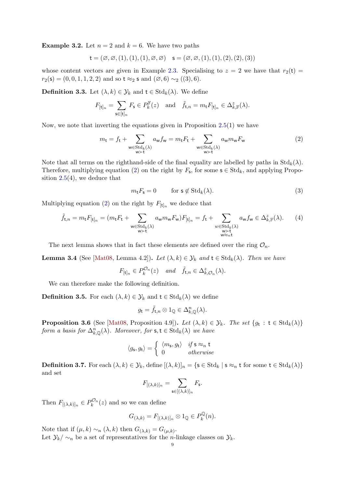**Example 3.2.** Let  $n = 2$  and  $k = 6$ . We have two paths

$$
\mathsf{t} = (\varnothing, \varnothing, (1), (1), (1), \varnothing, \varnothing) \quad \mathsf{s} = (\varnothing, \varnothing, (1), (1), (2), (2), (3))
$$

whose content vectors are given in Example [2.3.](#page-5-0) Specialising to  $z = 2$  we have that  $r_2(t) =$  $r_2(s) = (0, 0, 1, 1, 2, 2)$  and so t ≈2 s and  $(\emptyset, 6) \sim_2 ((3), 6)$ .

**Definition 3.3.** Let  $(\lambda, k) \in \mathcal{Y}_k$  and  $t \in \text{Std}_k(\lambda)$ . We define

$$
F_{[\mathsf{t}]_n} = \sum_{\mathsf{s}\in[\mathsf{t}]_n} F_{\mathsf{s}} \in P_k^{\mathbb{F}}(z) \quad \text{and} \quad \tilde{f}_{\mathsf{t},n} = m_{\mathsf{t}} F_{[\mathsf{t}]_n} \in \Delta_{k,\mathbb{F}}^z(\lambda).
$$

Now, we note that inverting the equations given in Proposition [2.5\(](#page-6-1)1) we have

$$
m_{t} = f_{t} + \sum_{\substack{\mathbf{w} \in \text{Std}_{k}(\lambda) \\ \mathbf{w} \succ \mathbf{t}}} a_{\mathbf{w}} f_{\mathbf{w}} = m_{t} F_{t} + \sum_{\substack{\mathbf{w} \in \text{Std}_{k}(\lambda) \\ \mathbf{w} \succ \mathbf{t}}} a_{\mathbf{w}} m_{\mathbf{w}} F_{\mathbf{w}}
$$
(2)

Note that all terms on the righthand-side of the final equality are labelled by paths in  $Std_k(\lambda)$ . Therefore, multiplying equation [\(2\)](#page-8-0) on the right by  $F_{\mathsf{s}}$ , for some  $\mathsf{s} \in \text{Std}_k$ , and applying Proposition  $2.5(4)$  $2.5(4)$ , we deduce that

$$
m_{\mathbf{t}} F_{\mathbf{s}} = 0 \qquad \text{for } \mathbf{s} \notin \text{Std}_k(\lambda). \tag{3}
$$

Multiplying equation [\(2\)](#page-8-0) on the right by  $F_{[t]_n}$  we deduce that

$$
\tilde{f}_{\mathsf{t},n} = m_{\mathsf{t}} F_{[\mathsf{t}]_n} = (m_{\mathsf{t}} F_{\mathsf{t}} + \sum_{\substack{\mathsf{w} \in \text{Std}_k(\lambda) \\ \mathsf{w} \succ \mathsf{t}}} a_{\mathsf{w}} m_{\mathsf{w}} F_{\mathsf{w}}) F_{[\mathsf{t}]_n} = f_{\mathsf{t}} + \sum_{\substack{\mathsf{w} \in \text{Std}_k(\lambda) \\ \mathsf{w} \succ \mathsf{t}}} a_{\mathsf{w}} f_{\mathsf{w}} \in \Delta^z_{k,\mathbb{F}}(\lambda). \tag{4}
$$

The next lemma shows that in fact these elements are defined over the ring  $\mathcal{O}_n$ .

**Lemma 3.4** (See [\[Mat08,](#page-24-10) Lemma 4.2]). Let  $(\lambda, k) \in \mathcal{Y}_k$  and  $t \in \text{Std}_k(\lambda)$ . Then we have

 $F_{[\mathsf{t}]_n} \in P_k^{\mathcal{O}_n}(z)$  and  $\tilde{f}_{\mathsf{t},n} \in \Delta^z_{k,\mathcal{O}_n}(\lambda)$ .

We can therefore make the following definition.

**Definition 3.5.** For each  $(\lambda, k) \in \mathcal{Y}_k$  and  $t \in \text{Std}_k(\lambda)$  we define

<span id="page-9-1"></span>
$$
g_{\mathsf{t}} = \tilde{f}_{\mathsf{t},n} \otimes 1_{\mathbb{Q}} \in \Delta_{k,\mathbb{Q}}^n(\lambda).
$$

<span id="page-9-2"></span>**Proposition 3.6** (See [\[Mat08,](#page-24-10) Proposition 4.9]). Let  $(\lambda, k) \in \mathcal{Y}_k$ . The set  $\{g_t : t \in \text{Std}_k(\lambda)\}\$ form a basis for  $\Delta_{k,\mathbb{Q}}^n(\lambda)$ . Moreover, for  $\mathsf{s},\mathsf{t} \in \text{Std}_k(\lambda)$  we have

$$
\langle g_{\mathsf{s}}, g_{\mathsf{t}} \rangle = \begin{cases} \langle m_{\mathsf{s}}, g_{\mathsf{t}} \rangle & \text{if } \mathsf{s} \approx_n \mathsf{t} \\ 0 & \text{otherwise} \end{cases}
$$

**Definition 3.7.** For each  $(\lambda, k) \in \mathcal{Y}_k$ , define  $[(\lambda, k)]_n = \{s \in \text{Std}_k \mid s \approx_n t \text{ for some } t \in \text{Std}_k(\lambda)\}\$ and set

$$
F_{[(\lambda,k)]_n} = \sum_{\mathsf{s}\in[(\lambda,k)]_n} F_{\mathsf{s}}.
$$

<span id="page-9-0"></span>Then  $F_{[(\lambda,k)]_n} \in P_k^{\mathcal{O}_n}(z)$  and so we can define

$$
G_{(\lambda,k)} = F_{[(\lambda,k)]_n} \otimes 1_{\mathbb{Q}} \in P_k^{\mathbb{Q}}(n).
$$

Note that if  $(\mu, k) \sim_n (\lambda, k)$  then  $G_{(\lambda, k)} = G_{(\mu, k)}$ . Let  $\mathcal{Y}_k/\sim_n$  be a set of representatives for the *n*-linkage classes on  $\mathcal{Y}_k$ .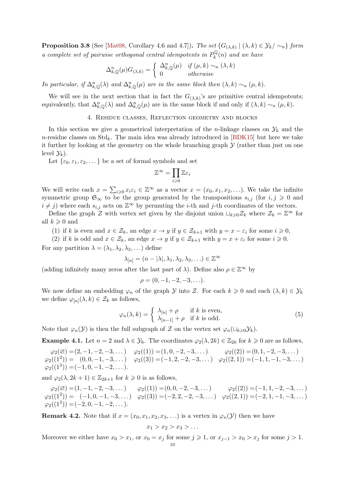**Proposition 3.8** (See [\[Mat08,](#page-24-10) Corollary 4.6 and 4.7]). The set  $\{G_{(\lambda,k)} | (\lambda,k) \in \mathcal{Y}_k/\sim_n\}$  form a complete set of pairwise orthogonal central idempotents in  $P_k^{\mathbb{Q}}$  $\partial_k^{\mathcal{Q}}(n)$  and we have

$$
\Delta_{k,\mathbb{Q}}^n(\mu)G_{(\lambda,k)} = \begin{cases} \Delta_{k,\mathbb{Q}}^n(\mu) & \text{if } (\mu,k) \sim_n (\lambda,k) \\ 0 & \text{otherwise} \end{cases}
$$

In particular, if  $\Delta_{k,\mathbb{Q}}^n(\lambda)$  and  $\Delta_{k,\mathbb{Q}}^n(\mu)$  are in the same block then  $(\lambda, k) \sim_n (\mu, k)$ .

<span id="page-10-0"></span>We will see in the next section that in fact the  $G_{(\lambda,k)}$ 's are primitive central idempotents; equivalently, that  $\Delta_{k,\mathbb{Q}}^n(\lambda)$  and  $\Delta_{k,\mathbb{Q}}^n(\mu)$  are in the same block if and only if  $(\lambda, k) \sim_n (\mu, k)$ .

#### 4. Residue classes, Reflection geometry and blocks

In this section we give a geometrical interpretation of the *n*-linkage classes on  $\mathcal{Y}_k$  and the n-residue classes on  $Std_k$ . The main idea was already introduced in [\[BDK15\]](#page-23-8) but here we take it further by looking at the geometry on the whole branching graph  $\mathcal Y$  (rather than just on one level  $\mathcal{Y}_k$ ).

Let  $\{\varepsilon_0, \varepsilon_1, \varepsilon_2, \dots\}$  be a set of formal symbols and set

$$
\mathbb{Z}^\infty=\prod_{i\geqslant 0}\mathbb{Z}\varepsilon_i
$$

We will write each  $x = \sum_{i\geqslant 0} x_i \varepsilon_i \in \mathbb{Z}^\infty$  as a vector  $x = (x_0, x_1, x_2, \ldots)$ . We take the infinite symmetric group  $\mathfrak{S}_{\infty}$  to be the group generated by the transpositions  $s_{i,j}$  (for  $i, j \geq 0$  and  $i \neq j$ ) where each  $s_{i,j}$  acts on  $\mathbb{Z}^{\infty}$  by permuting the *i*-th and *j*-th coordinates of the vectors.

Define the graph Z with vertex set given by the disjoint union  $\sqcup_{k\geq 0}\mathcal{Z}_k$  where  $\mathcal{Z}_k = \mathbb{Z}^\infty$  for all  $k \geqslant 0$  and

- (1) if k is even and  $x \in \mathcal{Z}_k$ , an edge  $x \to y$  if  $y \in \mathcal{Z}_{k+1}$  with  $y = x \varepsilon_i$  for some  $i \geq 0$ ,
- (2) if k is odd and  $x \in \mathcal{Z}_k$ , an edge  $x \to y$  if  $y \in \mathcal{Z}_{k+1}$  with  $y = x + \varepsilon_i$  for some  $i \geq 0$ .

For any partition  $\lambda = (\lambda_1, \lambda_2, \lambda_3, \ldots)$  define

$$
\lambda_{[n]} = (n - |\lambda|, \lambda_1, \lambda_2, \lambda_3, \ldots) \in \mathbb{Z}^{\infty}
$$

(adding infinitely many zeros after the last part of  $\lambda$ ). Define also  $\rho \in \mathbb{Z}^{\infty}$  by

$$
\rho = (0, -1, -2, -3, \ldots).
$$

We now define an embedding  $\varphi_n$  of the graph  $\mathcal Y$  into  $\mathcal Z$ . For each  $k \geq 0$  and each  $(\lambda, k) \in \mathcal Y_k$ we define  $\varphi_{[n]}(\lambda, k) \in \mathcal{Z}_k$  as follows,

$$
\varphi_n(\lambda, k) = \begin{cases} \lambda_{[n]} + \rho & \text{if } k \text{ is even,} \\ \lambda_{[n-1]} + \rho & \text{if } k \text{ is odd.} \end{cases}
$$
 (5)

<span id="page-10-1"></span>Note that  $\varphi_n(\mathcal{Y})$  is then the full subgraph of Z on the vertex set  $\varphi_n(\sqcup_{k\geq 0}\mathcal{Y}_k)$ .

**Example 4.1.** Let  $n = 2$  and  $\lambda \in \mathcal{Y}_6$ . The coordinates  $\varphi_2(\lambda, 2k) \in \mathbb{Z}_{2k}$  for  $k \geq 0$  are as follows,

$$
\varphi_2(\emptyset) = (2, -1, -2, -3, \dots) \qquad \varphi_2((1)) = (1, 0, -2, -3, \dots) \qquad \varphi_2((2)) = (0, 1, -2, -3, \dots) \n\varphi_2((1^2)) = (0, 0, -1, -3, \dots) \qquad \varphi_2((3)) = (-1, 2, -2, -3, \dots) \qquad \varphi_2((2, 1)) = (-1, 1, -1, -3, \dots) \n\varphi_2((1^3)) = (-1, 0, -1, -2, \dots).
$$

and  $\varphi_2(\lambda, 2k+1) \in \mathbb{Z}_{2k+1}$  for  $k \geq 0$  is as follows,

<span id="page-10-2"></span> $\varphi_2(\varnothing)=(1,-1,-2,-3,\dots) \qquad \varphi_2((1))=(0,0,-2,-3,\dots) \qquad \varphi_2((2))=(-1,1,-2,-3,\dots)$  $\varphi_2((1^2)) = (-1, 0, -1, -3, \dots) \quad \varphi_2((3)) = (-2, 2, -2, -3, \dots) \quad \varphi_2((2, 1)) = (-2, 1, -1, -3, \dots)$  $\varphi_2((1^3)) = (-2, 0, -1, -2, \dots).$ 

**Remark 4.2.** Note that if  $x = (x_0, x_1, x_2, x_3, ...)$  is a vertex in  $\varphi_n(y)$  then we have

$$
x_1 > x_2 > x_3 > \dots
$$

Moreover we either have  $x_0 > x_1$ , or  $x_0 = x_j$  for some  $j \ge 1$ , or  $x_{j-1} > x_0 > x_j$  for some  $j > 1$ .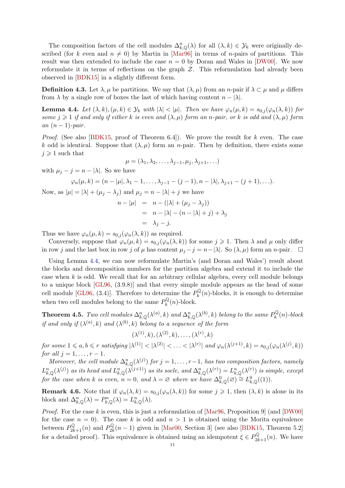The composition factors of the cell modules  $\Delta_{k,\mathbb{Q}}^n(\lambda)$  for all  $(\lambda, k) \in \mathcal{Y}_k$  were originally described (for k even and  $n \neq 0$ ) by Martin in [\[Mar96\]](#page-24-11) in terms of n-pairs of partitions. This result was then extended to include the case  $n = 0$  by Doran and Wales in [\[DW00\]](#page-24-12). We now reformulate it in terms of reflections on the graph  $Z$ . This reformulation had already been observed in [\[BDK15\]](#page-23-8) in a slightly different form.

**Definition 4.3.** Let  $\lambda, \mu$  be partitions. We say that  $(\lambda, \mu)$  from an *n*-pair if  $\lambda \subset \mu$  and  $\mu$  differs from  $\lambda$  by a single row of boxes the last of which having content  $n - |\lambda|$ .

**Lemma 4.4.** Let  $(\lambda, k), (\mu, k) \in \mathcal{Y}_k$  with  $|\lambda| < |\mu|$ . Then we have  $\varphi_n(\mu, k) = s_{0,j}(\varphi_n(\lambda, k))$  for some  $j \geq 1$  if and only if either k is even and  $(\lambda, \mu)$  form an n-pair, or k is odd and  $(\lambda, \mu)$  form an  $(n-1)$ -pair.

*Proof.* (See also [\[BDK15,](#page-23-8) proof of Theorem 6.4]). We prove the result for k even. The case k odd is identical. Suppose that  $(\lambda, \mu)$  form an n-pair. Then by definition, there exists some  $j \geqslant 1$  such that

$$
\mu=(\lambda_1,\lambda_2,\ldots,\lambda_{j-1},\mu_j,\lambda_{j+1},\ldots)
$$

with  $\mu_i - j = n - |\lambda|$ . So we have

$$
\varphi_n(\mu, k) = (n - |\mu|, \lambda_1 - 1, \ldots, \lambda_{j-1} - (j-1), n - |\lambda|, \lambda_{j+1} - (j+1), \ldots).
$$

Now, as  $|\mu| = |\lambda| + (\mu_j - \lambda_j)$  and  $\mu_j = n - |\lambda| + j$  we have

$$
n - |\mu| = n - (|\lambda| + (\mu_j - \lambda_j))
$$
  
= 
$$
n - |\lambda| - (n - |\lambda| + j) + \lambda_j
$$
  
= 
$$
\lambda_j - j.
$$

Thus we have  $\varphi_n(\mu, k) = s_{0,i}(\varphi_n(\lambda, k))$  as required.

Conversely, suppose that  $\varphi_n(\mu, k) = s_{0,j}(\varphi_n(\lambda, k))$  for some  $j \geq 1$ . Then  $\lambda$  and  $\mu$  only differ in row j and the last box in row j of  $\mu$  has content  $\mu_j - j = n - |\lambda|$ . So  $(\lambda, \mu)$  form an n-pair.  $\Box$ 

Using Lemma [4.4,](#page-10-0) we can now reformulate Martin's (and Doran and Wales') result about the blocks and decomposition numbers for the partition algebra and extend it to include the case when  $k$  is odd. We recall that for an arbitrary cellular algebra, every cell module belongs to a unique block [\[GL96,](#page-24-7) (3.9.8)] and that every simple module appears as the head of some cell module [\[GL96,](#page-24-7) (3.4)]. Therefore to determine the  $P_k^{\mathbb{Q}}$  $\int_k^{\infty}(n)$ -blocks, it is enough to determine when two cell modules belong to the same  $P_k^{\mathbb{Q}}$  $\partial_k^{\mathbb{Q}}(n)$ -block.

**Theorem 4.5.** Two cell modules  $\Delta_{k,\mathbb{Q}}^n(\lambda^{(a)},k)$  and  $\Delta_{k,\mathbb{Q}}^n(\lambda^{(b)},k)$  belong to the same  $P_k^{\mathbb{Q}}$  $b_k^{\mathcal{Q}}(n)$ -block if and only if  $(\lambda^{(a)}, k)$  and  $(\lambda^{(b)}, k)$  belong to a sequence of the form

$$
(\lambda^{(1)},k),(\lambda^{(2)},k),\ldots,(\lambda^{(r)},k)
$$

 $for~some~1\leqslant a,b\leqslant r~satisfying~|\lambda^{(1)}|<|\lambda^{(2)}|<\ldots<|\lambda^{(r)}|~and~\varphi_n(\lambda^{(j+1)},k)=s_{0,j}(\varphi_n(\lambda^{(j)},k))$ for all  $j = 1, \ldots, r - 1$ .

<span id="page-11-0"></span>Moreover, the cell module  $\Delta_{k,\mathbb{Q}}^n(\lambda^{(j)})$  for  $j=1,\ldots,r-1$ , has two composition factors, namely  $L_{k,\mathbb{Q}}^n(\lambda^{(j)})$  as its head and  $L_{k,\mathbb{Q}}^n(\lambda^{(j+1)})$  as its socle, and  $\Delta_{k,\mathbb{Q}}^n(\lambda^{(r)}) = L_{k,\mathbb{Q}}^n(\lambda^{(r)})$  is simple, except for the case when k is even,  $n = 0$ , and  $\lambda = \varnothing$  where we have  $\Delta_{k,\mathbb{Q}}^0(\varnothing) \cong L_{k,\mathbb{Q}}^0((1)).$ 

**Remark 4.6.** Note that if  $\varphi_n(\lambda, k) = s_{0,i}(\varphi_n(\lambda, k))$  for some  $j \geq 1$ , then  $(\lambda, k)$  is alone in its block and  $\Delta_{k,\mathbb{Q}}^n(\lambda) = P_{k,\mathbb{Q}}^n(\lambda) = L_{k,\mathbb{Q}}^n(\lambda)$ .

*Proof.* For the case k is even, this is just a reformulation of  $[Mar96,$  Proposition 9 (and  $[DW00]$ ) for the case  $n = 0$ . The case k is odd and  $n > 1$  is obtained using the Morita equivalence between  $P^{\mathbb{Q}}_{2k+1}(n)$  and  $P^{\mathbb{Q}}_{2k}$  $2k/2$ <sub>2k</sub> $(n-1)$  given in [\[Mar00,](#page-24-13) Section 3] (see also [\[BDK15,](#page-23-8) Theorem 5.2] for a detailed proof). This equivalence is obtained using an idempotent  $\xi \in P^{\mathbb{Q}}_{2k+1}(n)$ . We have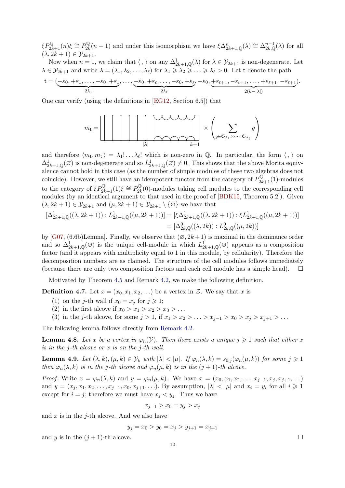<span id="page-12-3"></span> $\xi P^{\mathbb{Q}}_{2k+1}(n)\xi \cong P^{\mathbb{Q}}_{2k}$  $2_k^{\mathbb{Q}}(n-1)$  and under this isomorphism we have  $\xi \Delta_{2k+1,\mathbb{Q}}^n(\lambda) \cong \Delta_{2k,\mathbb{Q}}^{n-1}(\lambda)$  for all  $(\lambda, 2k+1) \in \mathcal{Y}_{2k+1}.$ 

Now when  $n = 1$ , we claim that  $\langle , \rangle$  on any  $\Delta^1_{2k+1,\mathbb{Q}}(\lambda)$  for  $\lambda \in \mathcal{Y}_{2k+1}$  is non-degenerate. Let  $\lambda \in \mathcal{Y}_{2k+1}$  and write  $\lambda = (\lambda_1, \lambda_2, \dots, \lambda_\ell)$  for  $\lambda_1 \geq \lambda_2 \geq \dots \geq \lambda_\ell > 0$ . Let t denote the path

<span id="page-12-4"></span>
$$
\mathsf{t} = (\underbrace{-\varepsilon_0, +\varepsilon_1, \ldots, -\varepsilon_0, +\varepsilon_1}_{2\lambda_1}, \ldots, \underbrace{-\varepsilon_0, +\varepsilon_\ell, \ldots, -\varepsilon_0, +\varepsilon_\ell}_{2\lambda_\ell}, -\varepsilon_0, \underbrace{+\varepsilon_{\ell+1}, -\varepsilon_{\ell+1}, \ldots, +\varepsilon_{\ell+1}, -\varepsilon_{\ell+1}}_{2(k-|\lambda|)}).
$$

One can verify (using the definitions in [\[EG12,](#page-24-1) Section 6.5]) that



and therefore  $\langle m_t, m_t \rangle = \lambda_1! \dots \lambda_\ell!$  which is non-zero in Q. In particular, the form  $\langle , \rangle$  on  $\Delta^1_{2k+1,\mathbb{Q}}(\varnothing)$  is non-degenerate and so  $L^1_{2k+1,\mathbb{Q}}(\varnothing) \neq 0$ . This shows that the above Morita equivalence cannot hold in this case (as the number of simple modules of these two algebras does not coincide). However, we still have an idempotent functor from the category of  $P^{\mathbb{Q}}_{2k+1}(1)$ -modules to the category of  $\xi P_{2k+1}^{\mathbb{Q}}(1)\xi \cong P_{2k}^{\mathbb{Q}}$  $2k(0)$ -modules taking cell modules to the corresponding cell modules (by an identical argument to that used in the proof of [\[BDK15,](#page-23-8) Theorem 5.2]). Given  $(\lambda, 2k+1) \in \mathcal{Y}_{2k+1}$  and  $(\mu, 2k+1) \in \mathcal{Y}_{2k+1} \setminus {\emptyset}$  we have that

<span id="page-12-0"></span>
$$
[\Delta_{2k+1,\mathbb{Q}}^1((\lambda, 2k+1)) : L_{2k+1,\mathbb{Q}}^1((\mu, 2k+1))] = [\xi \Delta_{2k+1,\mathbb{Q}}^1((\lambda, 2k+1)) : \xi L_{2k+1,\mathbb{Q}}^1((\mu, 2k+1))]
$$
  
=  $[\Delta_{2k,\mathbb{Q}}^0((\lambda, 2k)) : L_{2k,\mathbb{Q}}^0((\mu, 2k))]$ 

by [\[G07,](#page-24-14) (6.6b)Lemma]. Finally, we observe that  $(\emptyset, 2k+1)$  is maximal in the dominance order and so  $\Delta^1_{2k+1,\mathbb{Q}}(\varnothing)$  is the unique cell-module in which  $L^1_{2k+1,\mathbb{Q}}(\varnothing)$  appears as a composition factor (and it appears with multiplicity equal to 1 in this module, by cellularity). Therefore the decomposition numbers are as claimed. The structure of the cell modules follows immediately (because there are only two composition factors and each cell module has a simple head).  $\square$ 

<span id="page-12-1"></span>Motivated by Theorem [4.5](#page-10-1) and Remark [4.2,](#page-9-0) we make the following definition.

**Definition 4.7.** Let  $x = (x_0, x_1, x_2, ...)$  be a vertex in Z. We say that x is

- (1) on the j-th wall if  $x_0 = x_j$  for  $j \geq 1$ ;
- (2) in the first alcove if  $x_0 > x_1 > x_2 > x_3 > \ldots$
- (3) in the *j*-th alcove, for some  $j > 1$ , if  $x_1 > x_2 > ... > x_{j-1} > x_0 > x_j > x_{j+1} > ...$

The following lemma follows directly from [Remark 4.2.](#page-9-0)

**Lemma 4.8.** Let x be a vertex in  $\varphi_n(y)$ . Then there exists a unique  $j \geq 1$  such that either x is in the j-th alcove or x is on the j-th wall.

**Lemma 4.9.** Let  $(\lambda, k), (\mu, k) \in \mathcal{Y}_k$  with  $|\lambda| < |\mu|$ . If  $\varphi_n(\lambda, k) = s_{0,j}(\varphi_n(\mu, k))$  for some  $j \geq 1$ then  $\varphi_n(\lambda, k)$  is in the j-th alcove and  $\varphi_n(\mu, k)$  is in the  $(j + 1)$ -th alcove.

<span id="page-12-2"></span>*Proof.* Write  $x = \varphi_n(\lambda, k)$  and  $y = \varphi_n(\mu, k)$ . We have  $x = (x_0, x_1, x_2, \dots, x_{j-1}, x_j, x_{j+1}, \dots)$ and  $y = (x_j, x_1, x_2, \ldots, x_{j-1}, x_0, x_{j+1}, \ldots)$ . By assumption,  $|\lambda| < |\mu|$  and  $x_i = y_i$  for all  $i \geq 1$ except for  $i = j$ ; therefore we must have  $x_j < y_j$ . Thus we have

$$
x_{j-1} > x_0 = y_j > x_j
$$

and  $x$  is in the *j*-th alcove. And we also have

$$
y_j = x_0 > y_0 = x_j > y_{j+1} = x_{j+1}
$$

and y is in the  $(j + 1)$ -th alcove.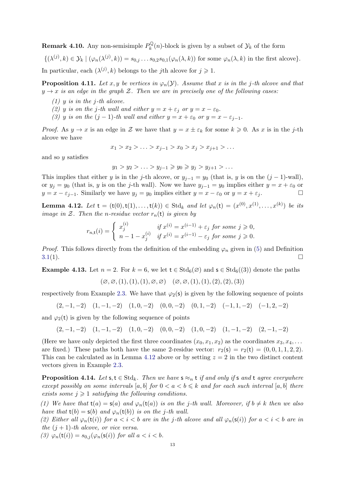**Remark 4.10.** Any non-semisimple  $P_k^{\mathbb{Q}}$  $\int_k^{\infty} (n)$ -block is given by a subset of  $\mathcal{Y}_k$  of the form

 $\{(\lambda^{(j)},k)\in\mathcal{Y}_k\mid (\varphi_n(\lambda^{(j)},k))=s_{0,j}\dots s_{0,2}s_{0,1}(\varphi_n(\lambda,k))$  for some  $\varphi_n(\lambda,k)$  in the first alcove}.

In particular, each  $(\lambda^{(j)}, k)$  belongs to the *j*th alcove for  $j \geq 1$ .

**Proposition 4.11.** Let x, y be vertices in  $\varphi_n(\mathcal{Y})$ . Assume that x is in the j-th alcove and that  $y \rightarrow x$  is an edge in the graph Z. Then we are in precisely one of the following cases:

- $(1)$  y is in the j-th alcove.
- (2) y is on the j-th wall and either  $y = x + \varepsilon_j$  or  $y = x \varepsilon_0$ .
- (3) y is on the  $(j 1)$ -th wall and either  $y = x + \varepsilon_0$  or  $y = x \varepsilon_{j-1}$ .

*Proof.* As  $y \to x$  is an edge in Z we have that  $y = x \pm \varepsilon_k$  for some  $k \geq 0$ . As x is in the j-th alcove we have

$$
x_1 > x_2 > \ldots > x_{j-1} > x_0 > x_j > x_{j+1} > \ldots
$$

and so  $y$  satisfies

$$
y_1 > y_2 > \ldots > y_{j-1} \geq y_0 \geq y_j > y_{j+1} > \ldots
$$

This implies that either y is in the j-th alcove, or  $y_{j-1} = y_0$  (that is, y is on the  $(j-1)$ -wall), or  $y_j = y_0$  (that is, y is on the j-th wall). Now we have  $y_{j-1} = y_0$  implies either  $y = x + \varepsilon_0$  or  $y = x - \varepsilon_{i-1}$ . Similarly we have  $y_j = y_0$  implies either  $y = x - \varepsilon_0$  or  $y = x + \varepsilon_i$ .

**Lemma 4.12.** Let  $t = (t(0), t(1), \ldots, t(k)) \in \text{Std}_k$  and let  $\varphi_n(t) = (x^{(0)}, x^{(1)}, \ldots, x^{(k)})$  be its image in Z. Then the n-residue vector  $r_n(t)$  is given by

$$
r_{n,\mathsf{t}}(i) = \begin{cases} x_j^{(i)} & \text{if } x^{(i)} = x^{(i-1)} + \varepsilon_j \text{ for some } j \geqslant 0, \\ n - 1 - x_j^{(i)} & \text{if } x^{(i)} = x^{(i-1)} - \varepsilon_j \text{ for some } j \geqslant 0. \end{cases}
$$

*Proof.* This follows directly from the definition of the embedding  $\varphi_n$  given in [\(5\)](#page-9-1) and Definition  $3.1(1).$  $3.1(1).$ 

**Example 4.13.** Let  $n = 2$ . For  $k = 6$ , we let  $t \in \text{Std}_6(\mathcal{O})$  and  $s \in \text{Std}_6((3))$  denote the paths

$$
(\varnothing, \varnothing, (1), (1), (1), \varnothing, \varnothing) \quad (\varnothing, \varnothing, (1), (1), (2), (2), (3))
$$

respectively from Example [2.3.](#page-5-0) We have that  $\varphi_2(s)$  is given by the following sequence of points

$$
(2,-1,-2) \quad (1,-1,-2) \quad (1,0,-2) \quad (0,0,-2) \quad (0,1,-2) \quad (-1,1,-2) \quad (-1,2,-2)
$$

and  $\varphi_2(t)$  is given by the following sequence of points

$$
(2,-1,-2) \quad (1,-1,-2) \quad (1,0,-2) \quad (0,0,-2) \quad (1,0,-2) \quad (1,-1,-2) \quad (2,-1,-2)
$$

(Here we have only depicted the first three coordinates  $(x_0, x_1, x_2)$  as the coordinates  $x_3, x_4, \ldots$ are fixed.) These paths both have the same 2-residue vector:  $r_2(s) = r_2(t) = (0, 0, 1, 1, 2, 2)$ . This can be calculated as in Lemma [4.12](#page-12-0) above or by setting  $z = 2$  in the two distinct content vectors given in Example [2.3.](#page-5-0)

**Proposition 4.14.** Let  $s, t \in Std_k$ . Then we have  $s \approx_n t$  if and only if s and t agree everywhere except possibly on some intervals  $[a, b]$  for  $0 < a < b \leq k$  and for each such interval  $[a, b]$  there exists some  $j \geqslant 1$  satisfying the following conditions.

(1) We have that  $t(a) = s(a)$  and  $\varphi_n(t(a))$  is on the j-th wall. Moreover, if  $b \neq k$  then we also have that  $t(b) = s(b)$  and  $\varphi_n(t(b))$  is on the j-th wall.

(2) Either all  $\varphi_n(\mathsf{t}(i))$  for  $a < i < b$  are in the j-th alcove and all  $\varphi_n(\mathsf{s}(i))$  for  $a < i < b$  are in the  $(j + 1)$ -th alcove, or vice versa.

(3)  $\varphi_n(\mathsf{t}(i)) = s_{0,j}(\varphi_n(\mathsf{s}(i)))$  for all  $a < i < b$ .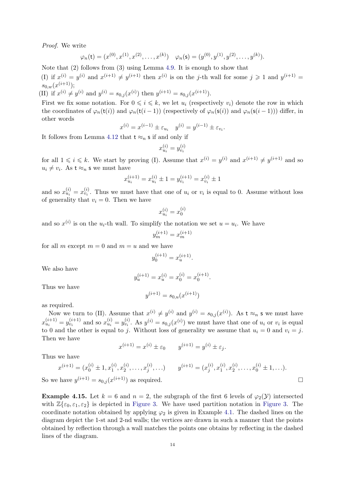Proof. We write

$$
\varphi_n(\mathbf{t}) = (x^{(0)}, x^{(1)}, x^{(2)}, \dots, x^{(k)}) \quad \varphi_n(\mathbf{s}) = (y^{(0)}, y^{(1)}, y^{(2)}, \dots, y^{(k)}).
$$

Note that (2) follows from (3) using Lemma [4.9.](#page-11-0) It is enough to show that

(I) if  $x^{(i)} = y^{(i)}$  and  $x^{(i+1)} \neq y^{(i+1)}$  then  $x^{(i)}$  is on the j-th wall for some  $j \geq 1$  and  $y^{(i+1)} =$  $s_{0,w}(x^{(i+1)});$ 

(II) if  $x^{(i)} \neq y^{(i)}$  and  $y^{(i)} = s_{0,j}(x^{(i)})$  then  $y^{(i+1)} = s_{0,j}(x^{(i+1)})$ .

First we fix some notation. For  $0 \leq i \leq k$ , we let  $u_i$  (respectively  $v_i$ ) denote the row in which the coordinates of  $\varphi_n(\mathsf{t}(i))$  and  $\varphi_n(\mathsf{t}(i-1))$  (respectively of  $\varphi_n(\mathsf{s}(i))$ ) and  $\varphi_n(\mathsf{s}(i-1))$ ) differ, in other words

$$
x^{(i)} = x^{(i-1)} \pm \varepsilon_{u_i} \quad y^{(i)} = y^{(i-1)} \pm \varepsilon_{v_i}.
$$

It follows from Lemma [4.12](#page-12-0) that  $t \approx_n s$  if and only if

$$
x_{u_i}^{(i)} = y_{v_i}^{(i)}
$$

for all  $1 \leq i \leq k$ . We start by proving (I). Assume that  $x^{(i)} = y^{(i)}$  and  $x^{(i+1)} \neq y^{(i+1)}$  and so  $u_i \neq v_i$ . As  $t \approx_n s$  we must have

<span id="page-14-0"></span>
$$
x_{u_i}^{(i+1)} = x_{u_i}^{(i)} \pm 1 = y_{v_i}^{(i+1)} = x_{v_i}^{(i)} \pm 1
$$

and so  $x_{u_i}^{(i)} = x_{v_i}^{(i)}$ . Thus we must have that one of  $u_i$  or  $v_i$  is equal to 0. Assume without loss of generality that  $v_i = 0$ . Then we have

$$
x_{u_i}^{(i)} = x_0^{(i)}
$$

and so  $x^{(i)}$  is on the  $u_i$ -th wall. To simplify the notation we set  $u = u_i$ . We have

$$
y_m^{(i+1)}=x_m^{(i+1)}\hspace{0.025cm}
$$

for all m except  $m = 0$  and  $m = u$  and we have

$$
y_0^{\left(i+1\right)}=x_u^{\left(i+1\right)}.
$$

We also have

$$
y_u^{(i+1)} = x_u^{(i)} = x_0^{(i)} = x_0^{(i+1)}.
$$

Thus we have

$$
y^{(i+1)} = s_{0,u}(x^{(i+1)})
$$

as required.

Now we turn to (II). Assume that  $x^{(i)} \neq y^{(i)}$  and  $y^{(i)} = s_{0,j}(x^{(i)})$ . As  $t \approx_n s$  we must have  $x_{u_i}^{(i+1)} = y_{v_i}^{(i+1)}$  and so  $x_{u_i}^{(i)} = y_{v_i}^{(i)}$ . As  $y^{(i)} = s_{0,j}(x^{(i)})$  we must have that one of  $u_i$  or  $v_i$  is equal to 0 and the other is equal to j. Without loss of generality we assume that  $u_i = 0$  and  $v_i = j$ . Then we have

$$
x^{(i+1)} = x^{(i)} \pm \varepsilon_0 \qquad y^{(i+1)} = y^{(i)} \pm \varepsilon_j.
$$

<span id="page-14-1"></span>Thus we have

$$
x^{(i+1)} = (x_0^{(i)} \pm 1, x_1^{(i)}, x_2^{(i)}, \dots, x_j^{(i)}, \dots) \qquad y^{(i+1)} = (x_j^{(i)}, x_1^{(i)}, x_2^{(i)}, \dots, x_0^{(i)} \pm 1, \dots).
$$

So we have  $y^{(i+1)} = s_{0,j}(x^{(i+1)})$  as required.

**Example 4.15.** Let  $k = 6$  and  $n = 2$ , the subgraph of the first 6 levels of  $\varphi_2(\mathcal{Y})$  intersected with  $\mathbb{Z}\{\varepsilon_0,\varepsilon_1,\varepsilon_2\}$  is depicted in [Figure 3.](#page-14-0) We have used partition notation in Figure 3. The coordinate notation obtained by applying  $\varphi_2$  is given in Example [4.1.](#page-9-2) The dashed lines on the diagram depict the 1-st and 2-nd walls; the vertices are drawn in such a manner that the points obtained by reflection through a wall matches the points one obtains by reflecting in the dashed lines of the diagram.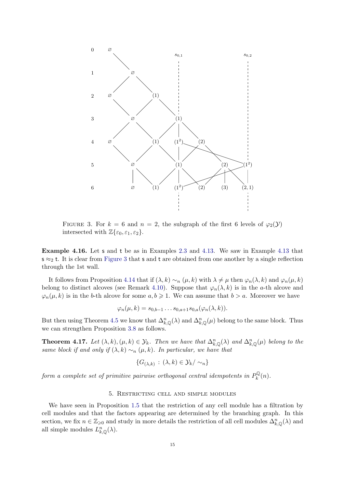<span id="page-15-3"></span><span id="page-15-0"></span>

<span id="page-15-1"></span>FIGURE 3. For  $k = 6$  and  $n = 2$ , the subgraph of the first 6 levels of  $\varphi_2(\mathcal{Y})$ intersected with  $\mathbb{Z}\{\varepsilon_0,\varepsilon_1,\varepsilon_2\}.$ 

<span id="page-15-4"></span>Example 4.16. Let s and t be as in Examples [2.3](#page-5-0) and [4.13.](#page-12-1) We saw in Example [4.13](#page-12-1) that  $s \approx_2 t$ . It is clear from [Figure 3](#page-14-0) that s and t are obtained from one another by a single reflection through the 1st wall.

It follows from Proposition [4.14](#page-12-2) that if  $(\lambda, k) \sim_n (\mu, k)$  with  $\lambda \neq \mu$  then  $\varphi_n(\lambda, k)$  and  $\varphi_n(\mu, k)$ belong to distinct alcoves (see Remark [4.10\)](#page-12-3). Suppose that  $\varphi_n(\lambda, k)$  is in the a-th alcove and  $\varphi_n(\mu, k)$  is in the b-th alcove for some  $a, b \geq 1$ . We can assume that  $b > a$ . Moreover we have

$$
\varphi_n(\mu,k) = s_{0,b-1} \dots s_{0,a+1} s_{0,a}(\varphi_n(\lambda,k)).
$$

<span id="page-15-5"></span>But then using Theorem [4.5](#page-10-1) we know that  $\Delta_{k,\mathbb{Q}}^n(\lambda)$  and  $\Delta_{k,\mathbb{Q}}^n(\mu)$  belong to the same block. Thus we can strengthen Proposition [3.8](#page-8-1) as follows.

**Theorem 4.17.** Let  $(\lambda, k), (\mu, k) \in \mathcal{Y}_k$ . Then we have that  $\Delta_{k,Q}^n(\lambda)$  and  $\Delta_{k,Q}^n(\mu)$  belong to the same block if and only if  $(\lambda, k) \sim_n (\mu, k)$ . In particular, we have that

<span id="page-15-2"></span>
$$
\{G_{(\lambda,k)}\,:\,(\lambda,k)\in\mathcal{Y}_k/\sim_n\}
$$

form a complete set of primitive pairwise orthogonal central idempotents in  $P_k^{\mathbb{Q}}$  $\ell_k^{\mathbb{Q}}(n)$ .

#### 5. Restricting cell and simple modules

We have seen in Proposition [1.5](#page-4-1) that the restriction of any cell module has a filtration by cell modules and that the factors appearing are determined by the branching graph. In this section, we fix  $n \in \mathbb{Z}_{\geqslant 0}$  and study in more details the restriction of all cell modules  $\Delta_{k,\mathbb{Q}}^n(\lambda)$  and all simple modules  $L_{k,\mathbb{Q}}^n(\lambda)$ .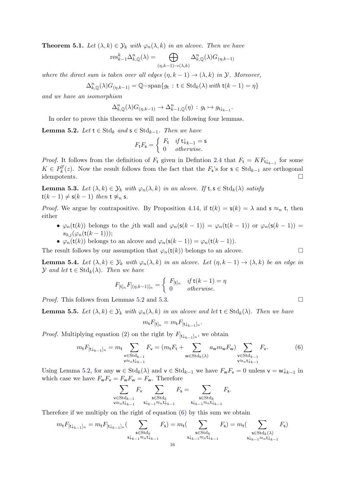**Theorem 5.1.** Let  $(\lambda, k) \in \mathcal{Y}_k$  with  $\varphi_n(\lambda, k)$  in an alcove. Then we have

$$
\text{res}_{k-1}^k \Delta_{k,\mathbb{Q}}^n(\lambda) = \bigoplus_{(\eta,k-1)\to(\lambda,k)} \Delta_{k,\mathbb{Q}}^n(\lambda) G_{(\eta,k-1)}
$$

where the direct sum is taken over all edges  $(\eta, k - 1) \rightarrow (\lambda, k)$  in  $\mathcal{Y}$ . Moreover,

$$
\Delta_{k,\mathbb{Q}}^n(\lambda)G_{(\eta,k-1)} = \mathbb{Q}\text{-span}\{g_t : t \in \text{Std}_k(\lambda) \text{ with } t(k-1) = \eta\}
$$

and we have an isomorphism

$$
\Delta_{k,{\mathbb Q}}^n(\lambda)G_{(\eta,k-1)}\to\Delta_{k-1,{\mathbb Q}}^n(\eta)\,:\,g_{\mathbf{t}}\mapsto g_{\mathbf{t}\downarrow_{k-1}}.
$$

In order to prove this theorem we will need the following four lemmas.

**Lemma 5.2.** Let  $t \in Std_k$  and  $s \in Std_{k-1}$ . Then we have

$$
F_{\mathbf{t}}F_{\mathbf{s}} = \begin{cases} F_{\mathbf{t}} & \text{if } \mathbf{t} \downarrow_{k-1} = \mathbf{s} \\ 0 & \text{otherwise.} \end{cases}
$$

*Proof.* It follows from the definition of  $F_t$  given in Definition [2.4](#page-5-1) that  $F_t = K F_{t\downarrow_{k-1}}$  for some  $K \in P_k^{\mathbb{F}}(z)$ . Now the result follows from the fact that the  $F_s$ 's for  $s \in \text{Std}_{k-1}$  are orthogonal idempotents.

**Lemma 5.3.** Let  $(\lambda, k) \in \mathcal{Y}_k$  with  $\varphi_n(\lambda, k)$  in an alcove. If  $t, s \in \text{Std}_k(\lambda)$  satisfy  $t(k-1) \neq s(k-1)$  then  $t \not\approx_n s$ .

*Proof.* We argue by contrapositive. By Proposition [4.14,](#page-12-2) if  $t(k) = s(k) = \lambda$  and  $s \approx_n t$ , then either

- $\varphi_n(\mathsf{t}(k))$  belongs to the jth wall and  $\varphi_n(\mathsf{s}(k-1)) = \varphi_n(\mathsf{t}(k-1))$  or  $\varphi_n(\mathsf{s}(k-1)) =$  $s_{0,j}(\varphi_n(t(k-1)));$
- $\varphi_n(\mathsf{t}(k))$  belongs to an alcove and  $\varphi_n(\mathsf{s}(k-1)) = \varphi_n(\mathsf{t}(k-1)).$

The result follows by our assumption that  $\varphi_n(\mathsf{t}(k))$  belongs to an alcove.

**Lemma 5.4.** Let  $(\lambda, k) \in \mathcal{Y}_k$  with  $\varphi_n(\lambda, k)$  in an alcove. Let  $(\eta, k - 1) \to (\lambda, k)$  be an edge in  $\mathcal Y$  and let  $\mathsf t \in \mathrm{Std}_k(\lambda)$ . Then we have

$$
F_{[\mathbf{t}]_n} F_{[(\eta,k-1)]_n} = \begin{cases} F_{[\mathbf{t}]_n} & \text{if } \mathbf{t}(k-1) = \eta \\ 0 & \text{otherwise.} \end{cases}
$$

*Proof.* This follows from Lemmas [5.2](#page-15-0) and [5.3.](#page-15-1)

**Lemma 5.5.** Let  $(\lambda, k) \in \mathcal{Y}_k$  with  $\varphi_n(\lambda, k)$  in an alcove and let  $t \in \text{Std}_k(\lambda)$ . Then we have

$$
m_{\mathbf{t}} F_{[\mathbf{t}]_n} = m_{\mathbf{t}} F_{[\mathbf{t} \downarrow_{k-1}]_n}.
$$

<span id="page-16-0"></span>*Proof.* Multiplying equation [\(2\)](#page-8-0) on the right by  $F_{[\mathbf{t}|_{k-1}]_n}$ , we obtain

$$
m_{\mathbf{t}} F_{[\mathbf{t}\downarrow_{k-1}]_n} = m_{\mathbf{t}} \sum_{\substack{\mathbf{v}\in \text{Std}_{k-1} \\ \mathbf{v}\approx_n \mathbf{t}\downarrow_{k-1}}} F_{\mathbf{v}} = (m_{\mathbf{t}} F_{\mathbf{t}} + \sum_{\substack{\mathbf{w}\in \text{Std}_k(\lambda) \\ \mathbf{v}\ll_n \mathbf{t}\downarrow_{k-1}}} a_{\mathbf{w}} m_{\mathbf{w}} F_{\mathbf{w}}) \sum_{\substack{\mathbf{v}\in \text{Std}_{k-1} \\ \mathbf{v}\approx_n \mathbf{t}\downarrow_{k-1}}} F_{\mathbf{v}}.
$$
 (6)

Using Lemma [5.2,](#page-15-0) for any  $w \in \text{Std}_k(\lambda)$  and  $v \in \text{Std}_{k-1}$  we have  $F_w F_v = 0$  unless  $v = w \downarrow_{k-1}$  in which case we have  $F_{\mathsf w}F_{\mathsf v}=F_{\mathsf w}F_{\mathsf w}=F_{\mathsf w}.$  Therefore

<span id="page-16-1"></span>
$$
\sum_{\substack{\mathbf{v}\in \mathrm{Std}_{k-1}\\ \mathbf{v}\approx_n\mathbf{t}\downarrow_{k-1}}}\!\!\!\!\!\!\!F_{\mathbf{v}}\sum_{\substack{\mathbf{s}\in \mathrm{Std}_{k}\\ \mathbf{s}\downarrow_{k-1}\approx_n\mathbf{t}\downarrow_{k-1}}}\!\!\!\!\!\!\!\!F_{\mathbf{s}}=\sum_{\substack{\mathbf{s}\in \mathrm{Std}_{k}\\ \mathbf{s}\downarrow_{k-1}\approx_n\mathbf{t}\downarrow_{k-1}}}\!\!\!\!\!\!\!\!F_{\mathbf{s}}.
$$

Therefore if we multiply on the right of equation [\(6\)](#page-15-2) by this sum we obtain

$$
m_{\mathsf{t}} F_{[\mathsf{t}\downarrow_{k-1}]_n} = m_{\mathsf{t}} F_{[\mathsf{t}\downarrow_{k-1}]_n}(\sum_{\substack{\mathsf{s}\in \mathrm{Std}_k\\\mathrm{s}\downarrow_{k-1}\approx_{n}\mathsf{t}\downarrow_{k-1}}} F_{\mathsf{s}}) = m_{\mathsf{t}}(\sum_{\substack{\mathsf{s}\in \mathrm{Std}_k\\\mathrm{s}\downarrow_{k-1}\approx_{n}\mathsf{t}\downarrow_{k-1}}} F_{\mathsf{s}}) = m_{\mathsf{t}}(\sum_{\substack{\mathsf{s}\in \mathrm{Std}_k(\lambda)\\\mathrm{s}\downarrow_{k-1}\approx_{n}\mathsf{t}\downarrow_{k-1}}} F_{\mathsf{s}})
$$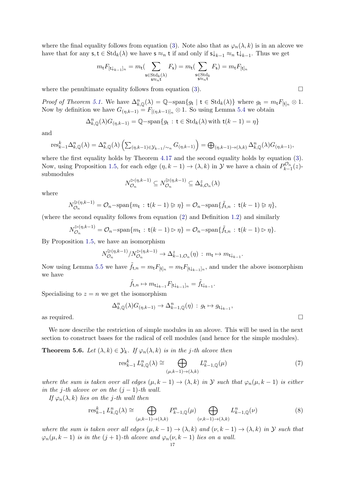where the final equality follows from equation [\(3\)](#page-8-2). Note also that as  $\varphi_n(\lambda, k)$  is in an alcove we have that for any  $s, t \in \text{Std}_k(\lambda)$  we have  $s \approx_n t$  if and only if  $s \downarrow_{k-1} \approx_n t \downarrow_{k-1}$ . Thus we get

$$
m_{\mathbf{t}} F_{[\mathbf{t}\downarrow_{k-1}]_n} = m_{\mathbf{t}} \left( \sum_{\substack{\mathbf{s} \in \text{Std}_k(\lambda) \\ \mathbf{s} \approx_n \mathbf{t}}} F_{\mathbf{s}} \right) = m_{\mathbf{t}} \left( \sum_{\substack{\mathbf{s} \in \text{Std}_k \\ \mathbf{s} \approx_n \mathbf{t}}} F_{\mathbf{s}} \right) = m_{\mathbf{t}} F_{[\mathbf{t}]_n}
$$

where the penultimate equality follows from equation [\(3\)](#page-8-2).  $\Box$ 

Proof of Theorem [5.1.](#page-15-3) We have  $\Delta_{k,\mathbb{Q}}^n(\lambda) = \mathbb{Q} - \text{span}\{g_t \mid t \in \text{Std}_k(\lambda)\}\$  where  $g_t = m_t F_{[t]_n} \otimes 1$ . Now by definition we have  $G_{(\eta,k-1)} = F_{[(\eta,k-1)]_n} \otimes 1$ . So using Lemma [5.4](#page-15-4) we obtain

$$
\Delta_{k,\mathbb{Q}}^n(\lambda)G_{(\eta,k-1)} = \mathbb{Q}\text{-span}\{g_t : t \in \text{Std}_k(\lambda) \text{ with } t(k-1) = \eta\}
$$

and

$$
\text{res}_{k-1}^k \Delta_{k,\mathbb{Q}}^n(\lambda) = \Delta_{k,\mathbb{Q}}^n(\lambda) \left( \sum_{(\eta,k-1)\in\mathcal{Y}_{k-1}/\sim_n} G_{(\eta,k-1)} \right) = \bigoplus_{(\eta,k-1)\to(\lambda,k)} \Delta_{k,\mathbb{Q}}^n(\lambda) G_{(\eta,k-1)},
$$

<span id="page-17-0"></span>where the first equality holds by Theorem [4.17](#page-14-1) and the second equality holds by equation [\(3\)](#page-8-2). Now, using Proposition [1.5,](#page-4-1) for each edge  $(\eta, k-1) \to (\lambda, k)$  in  $\mathcal Y$  we have a chain of  $P_{k-1}^{\mathcal O_n}(z)$ . submodules

$$
N_{\mathcal{O}_n}^{\triangleright(\eta,k-1)} \subseteq N_{\mathcal{O}_n}^{\triangleright(\eta,k-1)} \subseteq \Delta_{k,\mathcal{O}_n}^z(\lambda)
$$

where

$$
N_{\mathcal{O}_n}^{\triangleright(\eta,k-1)} = \mathcal{O}_n - \operatorname{span}\{m_{\mathsf{t}} \,:\, \mathsf{t}(k-1) \triangleright \eta\} = \mathcal{O}_n - \operatorname{span}\{\tilde{f}_{\mathsf{t},n} \,:\, \mathsf{t}(k-1) \triangleright \eta\},
$$

(where the second equality follows from equation [\(2\)](#page-8-0) and Definition [1.2\)](#page-3-1) and similarly

$$
N_{\mathcal{O}_n}^{\triangleright(\eta,k-1)} = \mathcal{O}_n - \operatorname{span}\{m_\mathbf{t} : \mathbf{t}(k-1) \triangleright \eta\} = \mathcal{O}_n - \operatorname{span}\{\tilde{f}_{\mathbf{t},n} : \mathbf{t}(k-1) \triangleright \eta\}.
$$

By Proposition [1.5,](#page-4-1) we have an isomorphism

$$
N_{\mathcal{O}_n}^{\triangleright(\eta,k-1)}/N_{\mathcal{O}_n}^{\triangleright(\eta,k-1)} \to \Delta_{k-1,\mathcal{O}_n}^z(\eta) : m_{\mathsf{t}} \mapsto m_{\mathsf{t}\downarrow_{k-1}}.
$$

Now using Lemma [5.5](#page-15-5) we have  $\tilde{f}_{t,n} = m_t F_{[\mathbf{t}]_n} = m_t F_{[\mathbf{t}]_{k-1}]_n}$ , and under the above isomorphism we have

$$
\tilde{f}_{\mathsf{t},n} \mapsto m_{\mathsf{t}\downarrow_{k-1}} F_{[\mathsf{t}\downarrow_{k-1}]_n} = \tilde{f}_{\mathsf{t}\downarrow_{k-1}}.
$$

Specialising to  $z = n$  we get the isomorphism

$$
\Delta_{k,\mathbb{Q}}^n(\lambda)G_{(\eta,k-1)}\to\Delta_{k-1,\mathbb{Q}}^n(\eta)\,:\,g_t\mapsto g_{\mathsf{t}\downarrow_{k-1}},
$$
 as required.  $\Box$ 

We now describe the restriction of simple modules in an alcove. This will be used in the next section to construct bases for the radical of cell modules (and hence for the simple modules).

**Theorem 5.6.** Let  $(\lambda, k) \in \mathcal{Y}_k$ . If  $\varphi_n(\lambda, k)$  is in the j-th alcove then

$$
\operatorname{res}_{k-1}^k L_{k,\mathbb{Q}}^n(\lambda) \cong \bigoplus_{(\mu,k-1)\to(\lambda,k)} L_{k-1,\mathbb{Q}}^n(\mu) \tag{7}
$$

where the sum is taken over all edges  $(\mu, k - 1) \rightarrow (\lambda, k)$  in Y such that  $\varphi_n(\mu, k - 1)$  is either in the j-th alcove or on the  $(j - 1)$ -th wall.

If  $\varphi_n(\lambda, k)$  lies on the j-th wall then

<span id="page-17-1"></span>
$$
\operatorname{res}_{k-1}^k L_{k,\mathbb{Q}}^n(\lambda) \cong \bigoplus_{(\mu,k-1)\to(\lambda,k)} P_{k-1,\mathbb{Q}}^n(\mu) \bigoplus_{(\nu,k-1)\to(\lambda,k)} L_{k-1,\mathbb{Q}}^n(\nu) \tag{8}
$$

where the sum is taken over all edges  $(\mu, k - 1) \to (\lambda, k)$  and  $(\nu, k - 1) \to (\lambda, k)$  in Y such that  $\varphi_n(\mu, k-1)$  is in the  $(j+1)$ -th alcove and  $\varphi_n(\nu, k-1)$  lies on a wall.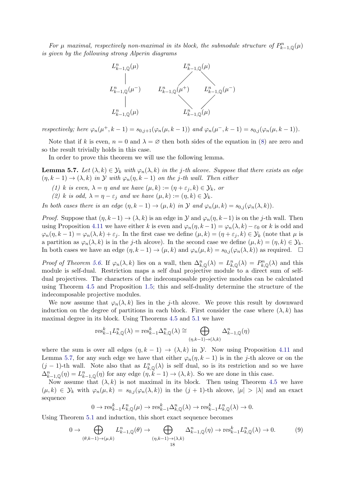For  $\mu$  maximal, respectively non-maximal in its block, the submodule structure of  $P_{k-1,\mathbb{Q}}^n(\mu)$ is given by the following strong Alperin diagrams



respectively; here  $\varphi_n(\mu^+, k-1) = s_{0,j+1}(\varphi_n(\mu, k-1))$  and  $\varphi_n(\mu^-, k-1) = s_{0,j}(\varphi_n(\mu, k-1)).$ 

Note that if k is even,  $n = 0$  and  $\lambda = \emptyset$  then both sides of the equation in [\(8\)](#page-16-1) are zero and so the result trivially holds in this case.

In order to prove this theorem we will use the following lemma.

**Lemma 5.7.** Let  $(\lambda, k) \in \mathcal{Y}_k$  with  $\varphi_n(\lambda, k)$  in the j-th alcove. Suppose that there exists an edge  $(\eta, k-1) \rightarrow (\lambda, k)$  in Y with  $\varphi_n(\eta, k-1)$  on the j-th wall. Then either

- (1) k is even,  $\lambda = \eta$  and we have  $(\mu, k) := (\eta + \varepsilon_i, k) \in \mathcal{Y}_k$ , or
- (2) k is odd,  $\lambda = \eta \varepsilon_j$  and we have  $(\mu, k) := (\eta, k) \in \mathcal{Y}_k$ .

In both cases there is an edge  $(\eta, k - 1) \rightarrow (\mu, k)$  in  $\mathcal Y$  and  $\varphi_n(\mu, k) = s_{0,i}(\varphi_n(\lambda, k)).$ 

*Proof.* Suppose that  $(\eta, k-1) \to (\lambda, k)$  is an edge in  $\mathcal Y$  and  $\varphi_n(\eta, k-1)$  is on the j-th wall. Then using Proposition [4.11](#page-12-4) we have either k is even and  $\varphi_n(\eta, k-1) = \varphi_n(\lambda, k) - \varepsilon_0$  or k is odd and  $\varphi_n(\eta, k-1) = \varphi_n(\lambda, k) + \varepsilon_j$ . In the first case we define  $(\mu, k) = (\eta + \varepsilon_j, k) \in \mathcal{Y}_k$  (note that  $\mu$  is a partition as  $\varphi_n(\lambda, k)$  is in the j-th alcove). In the second case we define  $(\mu, k) = (\eta, k) \in \mathcal{Y}_k$ . In both cases we have an edge  $(\eta, k - 1) \to (\mu, k)$  and  $\varphi_n(\mu, k) = s_{0,j}(\varphi_n(\lambda, k))$  as required.  $\Box$ 

Proof of Theorem [5.6.](#page-16-0) If  $\varphi_n(\lambda, k)$  lies on a wall, then  $\Delta_{k,\mathbb{Q}}^n(\lambda) = L_{k,\mathbb{Q}}^n(\lambda) = P_{k,\mathbb{Q}}^n(\lambda)$  and this module is self-dual. Restriction maps a self dual projective module to a direct sum of selfdual projectives. The characters of the indecomposable projective modules can be calculated using Theorem [4.5](#page-10-1) and Proposition [1.5;](#page-4-1) this and self-duality determine the structure of the indecomposable projective modules.

We now assume that  $\varphi_n(\lambda, k)$  lies in the j-th alcove. We prove this result by downward induction on the degree of partitions in each block. First consider the case where  $(\lambda, k)$  has maximal degree in its block. Using Theorems [4.5](#page-10-1) and [5.1](#page-15-3) we have

$$
\text{res}_{k-1}^k L_{k,\mathbb{Q}}^n(\lambda) = \text{res}_{k-1}^k \Delta_{k,\mathbb{Q}}^n(\lambda) \cong \bigoplus_{(\eta,k-1)\to(\lambda,k)} \Delta_{k-1,\mathbb{Q}}^n(\eta)
$$

where the sum is over all edges  $(\eta, k - 1) \rightarrow (\lambda, k)$  in  $\mathcal{Y}$ . Now using Proposition [4.11](#page-12-4) and Lemma [5.7,](#page-17-0) for any such edge we have that either  $\varphi_n(\eta, k-1)$  is in the j-th alcove or on the  $(j-1)$ -th wall. Note also that as  $L_{k,\mathbb{Q}}^n(\lambda)$  is self dual, so is its restriction and so we have  $\Delta_{k-1,\mathbb{Q}}^n(\eta) = L_{k-1,\mathbb{Q}}^n(\eta)$  for any edge  $(\eta, \tilde{k}-1) \to (\lambda, k)$ . So we are done in this case.

Now assume that  $(\lambda, k)$  is not maximal in its block. Then using Theorem [4.5](#page-10-1) we have  $(\mu, k) \in \mathcal{Y}_k$  with  $\varphi_n(\mu, k) = s_{0,i}(\varphi_n(\lambda, k))$  in the  $(j + 1)$ -th alcove,  $|\mu| > |\lambda|$  and an exact sequence

$$
0 \to \text{res}_{k-1}^k L_{k,\mathbb{Q}}^n(\mu) \to \text{res}_{k-1}^k \Delta_{k,\mathbb{Q}}^n(\lambda) \to \text{res}_{k-1}^k L_{k,\mathbb{Q}}^n(\lambda) \to 0.
$$

<span id="page-18-0"></span>Using Theorem [5.1](#page-15-3) and induction, this short exact sequence becomes

$$
0 \to \bigoplus_{(\theta,k-1)\to(\mu,k)} L_{k-1,\mathbb{Q}}^n(\theta) \to \bigoplus_{(\eta,k-1)\to(\lambda,k)} \Delta_{k-1,\mathbb{Q}}^n(\eta) \to \text{res}_{k-1}^k L_{k,\mathbb{Q}}^n(\lambda) \to 0. \tag{9}
$$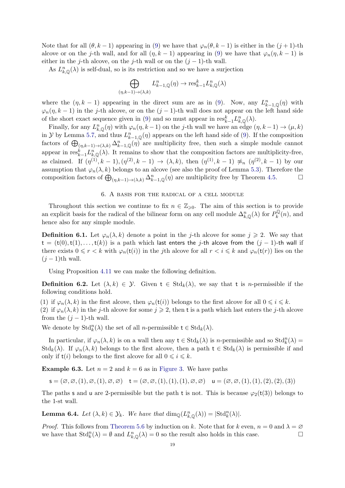Note that for all  $(\theta, k-1)$  appearing in [\(9\)](#page-17-1) we have that  $\varphi_n(\theta, k-1)$  is either in the  $(j+1)$ -th alcove or on the j-th wall, and for all  $(\eta, k-1)$  appearing in [\(9\)](#page-17-1) we have that  $\varphi_n(\eta, k-1)$  is either in the j-th alcove, on the j-th wall or on the  $(j-1)$ -th wall.

<span id="page-19-0"></span>As  $L_{k,\mathbb{Q}}^n(\lambda)$  is self-dual, so is its restriction and so we have a surjection

$$
\bigoplus_{(\eta,k-1)\to(\lambda,k)} L_{k-1,\mathbb{Q}}^n(\eta) \to \text{res}_{k-1}^k L_{k,\mathbb{Q}}^n(\lambda)
$$

where the  $(\eta, k-1)$  appearing in the direct sum are as in [\(9\)](#page-17-1). Now, any  $L_{k-1,\mathbb{Q}}^n(\eta)$  with  $\varphi_n(\eta, k-1)$  in the j-th alcove, or on the  $(j-1)$ -th wall does not appear on the left hand side of the short exact sequence given in [\(9\)](#page-17-1) and so must appear in  $res_{k-1}^k L_{k,\mathbb{Q}}^n(\lambda)$ .

Finally, for any  $L_{k,\mathbb{Q}}^n(\eta)$  with  $\varphi_n(\eta,k-1)$  on the j-th wall we have an edge  $(\eta, k-1) \to (\mu, k)$ in  $\mathcal Y$  by Lemma [5.7,](#page-17-0) and thus  $L_{k-1,\mathbb Q}^n(\eta)$  appears on the left hand side of [\(9\)](#page-17-1). If the composition factors of  $\bigoplus_{(\eta,k-1)\to(\lambda,k)} \Delta_{k-1,\mathbb{Q}}^n(\eta)$  are multiplicity free, then such a simple module cannot appear in  $res_{k-1}^k L_{k,\mathbb{Q}}^n(\lambda)$ . It remains to show that the composition factors are multiplicity-free, as claimed. If  $(\eta^{(1)}, k-1), (\eta^{(2)}, k-1) \to (\lambda, k)$ , then  $(\eta^{(1)}, k-1) \not\approx_n (\eta^{(2)}, k-1)$  by our assumption that  $\varphi_n(\lambda, k)$  belongs to an alcove (see also the proof of Lemma [5.3\)](#page-15-1). Therefore the composition factors of  $\bigoplus_{(\eta,k-1)\to(\lambda,k)} \Delta_{k-1,\mathbb{Q}}^n(\eta)$  are multiplicity free by Theorem [4.5.](#page-10-1)

#### <span id="page-19-1"></span>6. A basis for the radical of a cell module

Throughout this section we continue to fix  $n \in \mathbb{Z}_{\geqslant 0}$ . The aim of this section is to provide an explicit basis for the radical of the bilinear form on any cell module  $\Delta_{k,\mathbb{Q}}^n(\lambda)$  for  $P_k^{\mathbb{Q}}$  $\mathcal{C}_k^{\mathbb{Q}}(n)$ , and hence also for any simple module.

**Definition 6.1.** Let  $\varphi_n(\lambda, k)$  denote a point in the j-th alcove for some  $j \geq 2$ . We say that  $t = (t(0), t(1), \ldots, t(k))$  is a path which last enters the j-th alcove from the  $(j - 1)$ -th wall if there exists  $0 \le r < k$  with  $\varphi_n(\mathsf{t}(i))$  in the *j*th alcove for all  $r < i \le k$  and  $\varphi_n(\mathsf{t}(r))$  lies on the  $(j-1)$ th wall.

Using Proposition [4.11](#page-12-4) we can make the following definition.

**Definition 6.2.** Let  $(\lambda, k) \in \mathcal{Y}$ . Given  $t \in \text{Std}_k(\lambda)$ , we say that t is *n*-permissible if the following conditions hold.

(1) if  $\varphi_n(\lambda, k)$  in the first alcove, then  $\varphi_n(\mathsf{t}(i))$  belongs to the first alcove for all  $0 \leq i \leq k$ . (2) if  $\varphi_n(\lambda, k)$  in the j-th alcove for some  $j \geq 2$ , then t is a path which last enters the j-th alcove from the  $(j - 1)$ -th wall.

We denote by  $\mathrm{Std}_{k}^{n}(\lambda)$  the set of all *n*-permissible  $t \in \mathrm{Std}_{k}(\lambda)$ .

In particular, if  $\varphi_n(\lambda, k)$  is on a wall then any  $t \in \text{Std}_k(\lambda)$  is *n*-permissible and so  $\text{Std}_k^n(\lambda) =$  $\text{Std}_k(\lambda)$ . If  $\varphi_n(\lambda, k)$  belongs to the first alcove, then a path  $t \in \text{Std}_k(\lambda)$  is permissible if and only if  $t(i)$  belongs to the first alcove for all  $0 \leq i \leq k$ .

**Example 6.3.** Let  $n = 2$  and  $k = 6$  as in [Figure 3.](#page-14-0) We have paths

<span id="page-19-2"></span>
$$
\mathsf{s}=(\varnothing,\varnothing,(1),\varnothing,(1),\varnothing,\varnothing)\quad \mathsf{t}=(\varnothing,\varnothing,(1),(1),(1),\varnothing,\varnothing)\quad \mathsf{u}=(\varnothing,\varnothing,(1),(1),(2),(2),(3))
$$

The paths s and u are 2-permissible but the path t is not. This is because  $\varphi_2(t(3))$  belongs to the 1-st wall.

**Lemma 6.4.** Let  $(\lambda, k) \in \mathcal{Y}_k$ . We have that  $\dim_{\mathbb{Q}}(L_{k,\mathbb{Q}}^n(\lambda)) = |\text{Std}_k^n(\lambda)|$ .

*Proof.* This follows from [Theorem 5.6](#page-16-0) by induction on k. Note that for k even,  $n = 0$  and  $\lambda = \emptyset$ we have that  $\text{Std}_k^n(\lambda) = \emptyset$  and  $L_{k,\mathbb{Q}}^n(\lambda) = 0$  so the result also holds in this case.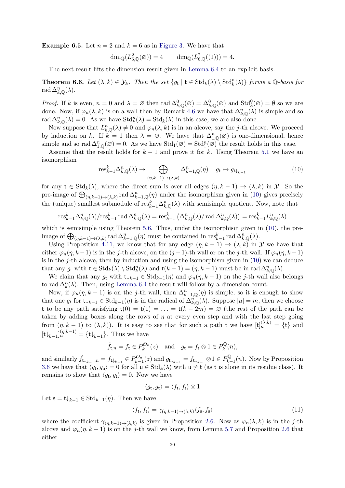**Example 6.5.** Let  $n = 2$  and  $k = 6$  as in [Figure 3.](#page-14-0) We have that

<span id="page-20-1"></span>
$$
\dim_{\mathbb{Q}}(L^2_{6,\mathbb{Q}}(\varnothing)) = 4 \qquad \dim_{\mathbb{Q}}(L^2_{6,\mathbb{Q}}((1))) = 4.
$$

The next result lifts the dimension result given in [Lemma 6.4](#page-18-0) to an explicit basis.

**Theorem 6.6.** Let  $(\lambda, k) \in \mathcal{Y}_k$ . Then the set  $\{g_t \mid t \in \text{Std}_k(\lambda) \setminus \text{Std}_k^n(\lambda)\}\)$  forms a Q-basis for rad  $\Delta_{k,\mathbb{Q}}^n(\lambda)$ .

*Proof.* If k is even,  $n = 0$  and  $\lambda = \emptyset$  then  $\text{rad}\Delta^0_{k,\mathbb{Q}}(\emptyset) = \Delta^0_{k,\mathbb{Q}}(\emptyset)$  and  $\text{Std}^0_k(\emptyset) = \emptyset$  so we are done. Now, if  $\varphi_n(\lambda, k)$  is on a wall then by Remark [4.6](#page-10-2) we have that  $\Delta_{k,\mathbb{Q}}^n(\lambda)$  is simple and so rad  $\Delta_{k,\mathbb{Q}}^n(\lambda) = 0$ . As we have  $\text{Std}_k^n(\lambda) = \text{Std}_k(\lambda)$  in this case, we are also done.

Now suppose that  $L_{k,\mathbb{Q}}^n(\lambda) \neq 0$  and  $\varphi_n(\lambda, k)$  is in an alcove, say the j-th alcove. We proceed by induction on k. If  $k = 1$  then  $\lambda = \emptyset$ . We have that  $\Delta_{1,\mathbb{Q}}^n(\emptyset)$  is one-dimensional, hence simple and so rad  $\Delta_{1,\mathbb{Q}}^n(\emptyset) = 0$ . As we have  $\text{Std}_1(\emptyset) = \text{Std}_1^n(\emptyset)$  the result holds in this case.

Assume that the result holds for  $k-1$  and prove it for k. Using Theorem [5.1](#page-15-3) we have an isomorphism

$$
\text{res}_{k-1}^k \Delta_{k,\mathbb{Q}}^n(\lambda) \to \bigoplus_{(\eta,k-1)\to(\lambda,k)} \Delta_{k-1,\mathbb{Q}}^n(\eta) : g_{\mathbf{t}} \mapsto g_{\mathbf{t}\downarrow_{k-1}} \tag{10}
$$

for any  $t \in \text{Std}_k(\lambda)$ , where the direct sum is over all edges  $(\eta, k-1) \to (\lambda, k)$  in  $\mathcal{Y}$ . So the pre-image of  $\bigoplus_{(\eta,k-1)\to(\lambda,k)}$  rad  $\Delta_{k-1,\mathbb{Q}}^n(\eta)$  under the isomorphism given in [\(10\)](#page-19-1) gives precisely the (unique) smallest submodule of  $res_{k-1}^k \Delta_{k,\mathbb{Q}}^n(\lambda)$  with semisimple quotient. Now, note that

$$
\text{res}_{k-1}^k \Delta_{k,\mathbb{Q}}^n(\lambda)/\text{res}_{k-1}^k \operatorname{rad} \Delta_{k,\mathbb{Q}}^n(\lambda) = \text{res}_{k-1}^k \left( \Delta_{k,\mathbb{Q}}^n(\lambda)/\text{rad}\,\Delta_{k,\mathbb{Q}}^n(\lambda) \right) = \text{res}_{k-1}^k L_{k,\mathbb{Q}}^n(\lambda)
$$

<span id="page-20-0"></span>which is semisimple using Theorem [5.6.](#page-16-0) Thus, under the isomorphism given in  $(10)$ , the preimage of  $\bigoplus_{(\eta,k-1)\to(\lambda,k)} \text{rad}\,\Delta_{k-1,\mathbb{Q}}^n(\eta)$  must be contained in  $\text{res}_{k-1}^k \text{rad}\,\Delta_{k,\mathbb{Q}}^n(\lambda)$ .

Using Proposition [4.11,](#page-12-4) we know that for any edge  $(\eta, k - 1) \to (\lambda, k)$  in Y we have that either  $\varphi_n(\eta, k-1)$  is in the j-th alcove, on the  $(j-1)$ -th wall or on the j-th wall. If  $\varphi_n(\eta, k-1)$ is in the  $j$ -th alcove, then by induction and using the isomorphism given in  $(10)$  we can deduce that any  $g_t$  with  $t \in \text{Std}_k(\lambda) \setminus \text{Std}_k^n(\lambda)$  and  $t(k-1) = (\eta, k-1)$  must be in rad  $\Delta_{k,\mathbb{Q}}^n(\lambda)$ .

We claim that any  $g_t$  with  $t\downarrow_{k-1} \in \text{Std}_{k-1}(\eta)$  and  $\varphi_n(\eta, k-1)$  on the j-th wall also belongs to rad  $\Delta_k^n(\lambda)$ . Then, using [Lemma 6.4](#page-18-0) the result will follow by a dimension count.

Now, if  $\varphi_n(\eta, k-1)$  is on the j-th wall, then  $\Delta_{k-1,\mathbb{Q}}^n(\eta)$  is simple, so it is enough to show that one  $g_t$  for  $t \downarrow_{k-1} \in \text{Std}_{k-1}(\eta)$  is in the radical of  $\Delta_{k,\mathbb{Q}}^{n}(\lambda)$ . Suppose  $|\mu| = m$ , then we choose t to be any path satisfying  $t(0) = t(1) = ... = t(k - 2m) = \emptyset$  (the rest of the path can be taken by adding boxes along the rows of  $\eta$  at every even step and with the last step going from  $(\eta, k-1)$  to  $(\lambda, k)$ ). It is easy to see that for such a path t we have  $[t]_n^{(\lambda, k)} = \{t\}$  and  $[\mathsf{t}\downarrow_{k-1}]_n^{(\eta,k-1)} = {\mathsf{t}\downarrow_{k-1}}$ . Thus we have

$$
\tilde{f}_{\mathsf{t},n} = f_{\mathsf{t}} \in P_k^{\mathcal{O}_n}(z) \text{ and } g_{\mathsf{t}} = f_{\mathsf{t}} \otimes 1 \in P_k^{\mathbb{Q}}(n),
$$

and similarly  $\tilde{f}_{\mathsf{t}\downarrow_{k-1},n} = f_{\mathsf{t}\downarrow_{k-1}} \in P_{k-1}^{\mathcal{O}_n}(z)$  and  $g_{\mathsf{t}\downarrow_{k-1}} = f_{\mathsf{t}\downarrow_{k-1}} \otimes 1 \in P_{k-1}^{\mathbb{Q}}$  $\sum_{k=1}^{\infty}$  (*n*). Now by Proposition [3.6](#page-8-3) we have that  $\langle g_t, g_u \rangle = 0$  for all  $u \in \text{Std}_k(\lambda)$  with  $u \neq t$  (as t is alone in its residue class). It remains to show that  $\langle g_t, g_t \rangle = 0$ . Now we have

$$
\langle g_{\mathbf{t}}, g_{\mathbf{t}} \rangle = \langle f_{\mathbf{t}}, f_{\mathbf{t}} \rangle \otimes 1
$$

Let  $\mathsf{s} = \mathsf{t} \downarrow_{k-1} \in \text{Std}_{k-1}(\eta)$ . Then we have

$$
\langle f_t, f_t \rangle = \gamma_{(\eta, k-1) \to (\lambda, k)} \langle f_s, f_s \rangle \tag{11}
$$

where the coefficient  $\gamma_{(\eta,k-1)\to(\lambda,k)}$  is given in Proposition [2.6.](#page-6-2) Now as  $\varphi_n(\lambda,k)$  is in the j-th alcove and  $\varphi_n(\eta, k-1)$  is on the j-th wall we know, from Lemma [5.7](#page-17-0) and Proposition [2.6](#page-6-2) that either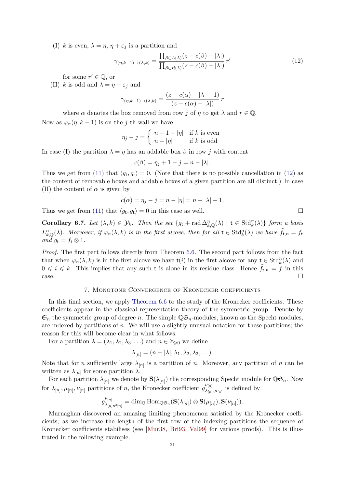(I) k is even,  $\lambda = \eta$ ,  $\eta + \varepsilon_j$  is a partition and

$$
\gamma_{(\eta,k-1)\to(\lambda,k)} = \frac{\prod_{\beta \in A(\lambda)} (z - c(\beta) - |\lambda|)}{\prod_{\beta \in R(\lambda)} (z - c(\beta) - |\lambda|)} r'
$$
\n(12)

for some  $r' \in \mathbb{Q}$ , or

(II) k is odd and  $\lambda = \eta - \varepsilon_j$  and

$$
\gamma_{(\eta,k-1)\to(\lambda,k)} = \frac{(z - c(\alpha) - |\lambda| - 1)}{(z - c(\alpha) - |\lambda|)} r
$$

where  $\alpha$  denotes the box removed from row j of  $\eta$  to get  $\lambda$  and  $r \in \mathbb{Q}$ . Now as  $\varphi_n(\eta, k-1)$  is on the j-th wall we have

$$
\eta_j - j = \begin{cases} n - 1 - |\eta| & \text{if } k \text{ is even} \\ n - |\eta| & \text{if } k \text{ is odd} \end{cases}
$$

In case (I) the partition  $\lambda = \eta$  has an addable box  $\beta$  in row j with content

$$
c(\beta) = \eta_j + 1 - j = n - |\lambda|.
$$

Thus we get from [\(11\)](#page-19-2) that  $\langle g_t, g_t \rangle = 0$ . (Note that there is no possible cancellation in [\(12\)](#page-20-1) as the content of removable boxes and addable boxes of a given partition are all distinct.) In case (II) the content of  $\alpha$  is given by

$$
c(\alpha) = \eta_j - j = n - |\eta| = n - |\lambda| - 1.
$$

<span id="page-21-0"></span>Thus we get from [\(11\)](#page-19-2) that  $\langle g_t, g_t \rangle = 0$  in this case as well.

Corollary 6.7. Let  $(\lambda, k) \in \mathcal{Y}_k$ . Then the set  $\{g_t + \text{rad}\Delta_{k,\mathbb{Q}}^n(\lambda) \mid t \in \text{Std}_k^n(\lambda)\}\)$  form a basis  $L_{k,\mathbb{Q}}^n(\lambda)$ . Moreover, if  $\varphi_n(\lambda,k)$  is in the first alcove, then for all  $t \in \text{Std}_{k}^n(\lambda)$  we have  $\tilde{f}_{t,n} = f_t$ and  $g_t = f_t \otimes 1$ .

Proof. The first part follows directly from Theorem [6.6.](#page-19-0) The second part follows from the fact that when  $\varphi_n(\lambda, k)$  is in the first alcove we have  $\mathsf{t}(i)$  in the first alcove for any  $\mathsf{t} \in \text{Std}_k^n(\lambda)$  and  $0 \leq i \leq k$ . This implies that any such t is alone in its residue class. Hence  $f_{t,n} = f$  in this  $\Box$ 

#### 7. Monotone Convergence of Kronecker coefficients

In this final section, we apply [Theorem 6.6](#page-20-0) to the study of the Kronecker coefficients. These coefficients appear in the classical representation theory of the symmetric group. Denote by  $\mathfrak{S}_n$  the symmetric group of degree n. The simple  $\mathbb{Q}\mathfrak{S}_n$ -modules, known as the Specht modules, are indexed by partitions of n. We will use a slightly unusual notation for these partitions; the reason for this will become clear in what follows.

For a partition  $\lambda = (\lambda_1, \lambda_2, \lambda_3, \ldots)$  and  $n \in \mathbb{Z}_{\geqslant 0}$  we define

$$
\lambda_{[n]} = (n - |\lambda|, \lambda_1, \lambda_2, \lambda_3, \ldots).
$$

Note that for *n* sufficiently large  $\lambda_{[n]}$  is a partition of *n*. Moreover, any partition of *n* can be written as  $\lambda_{[n]}$  for some partition  $\lambda$ .

For each partition  $\lambda_{[n]}$  we denote by  $\mathbf{S}(\lambda_{[n]})$  the corresponding Specht module for  $\mathbb{Q} \mathfrak{S}_n$ . Now for  $\lambda_{[n]}, \mu_{[n]}, \nu_{[n]}$  partitions of n, the Kronecker coefficient  $g_{\lambda_{[n]}}^{\nu_{[n]}}$  $\chi_{[n],\mu_{[n]}}^{[\nu]}$  is defined by

$$
g_{\lambda_{[n]}, \mu_{[n]}}^{\nu_{[n]}} = \dim_\mathbb{Q} \mathrm{Hom}_{\mathbb{Q}\mathfrak{S}_n}(\mathbf{S}(\lambda_{[n]}) \otimes \mathbf{S}(\mu_{[n]}), \mathbf{S}(\nu_{[n]})).
$$

<span id="page-21-1"></span>Murnaghan discovered an amazing limiting phenomenon satisfied by the Kronecker coefficients; as we increase the length of the first row of the indexing partitions the sequence of Kronecker coefficients stabilises (see [\[Mur38,](#page-24-15) [Bri93,](#page-23-5) [Val99\]](#page-24-16) for various proofs). This is illustrated in the following example.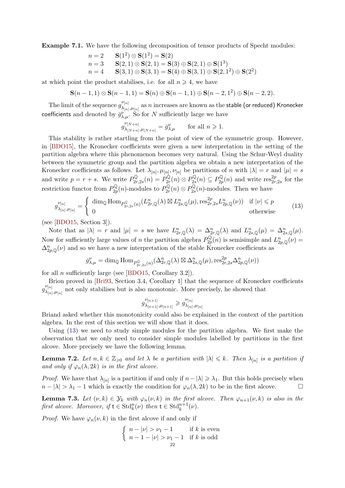Example 7.1. We have the following decomposition of tensor products of Specht modules:

$$
n = 2 \t S(12) \otimes S(12) = S(2)
$$
  
\n
$$
n = 3 \t S(2, 1) \otimes S(2, 1) = S(3) \oplus S(2, 1) \oplus S(13)
$$
  
\n
$$
n = 4 \t S(3, 1) \otimes S(3, 1) = S(4) \oplus S(3, 1) \oplus S(2, 12) \oplus S(22)
$$

<span id="page-22-2"></span>at which point the product stabilises, i.e. for all  $n \geq 4$ , we have

$$
\mathbf{S}(n-1,1) \otimes \mathbf{S}(n-1,1) = \mathbf{S}(n) \oplus \mathbf{S}(n-1,1) \oplus \mathbf{S}(n-2,1^2) \oplus \mathbf{S}(n-2,2).
$$

The limit of the sequence  $g_{\lambda_{i}}^{\nu_{[n]}}$  $\frac{\mathcal{L}_{[n]}}{\lambda_{[n]},\mu_{[n]}}$  as  $n$  increases are known as the stable (or reduced) Kronecker coefficients and denoted by  $\bar{g}_{\lambda,\mu}^{\nu}$ . So for N sufficiently large we have

$$
g_{\lambda_{[N+n]},\mu_{[N+n]}}^{\nu_{[N+n]}} = \bar{g}_{\lambda,\mu}^{\nu} \quad \text{for all } n \geq 1.
$$

This stability is rather startling from the point of view of the symmetric group. However, in [\[BDO15\]](#page-23-0), the Kronecker coefficients were given a new interpretation in the setting of the partition algebra where this phenomenon becomes very natural. Using the Schur-Weyl duality between the symmetric group and the partition algebra we obtain a new interpretation of the Kronecker coefficients as follows. Let  $\lambda_{[n]}, \mu_{[n]}, \nu_{[n]}$  be partitions of n with  $|\lambda| = r$  and  $|\mu| = s$ and write  $p = r + s$ . We write  $P_{2r}^{\mathbb{Q}}$  $P_{2r,2s}^{\mathbb Q}(n) = P_{2r}^{\mathbb Q}$  $P^{\mathbb{Q}}_{2r}(n)\otimes P^{\mathbb{Q}}_{2s}$  $P^{\mathbb{Q}}_{2s}(n) \subseteq P^{\mathbb{Q}}_{2p}$  $p_{2p}^{\mathbb{Q}}(n)$  and write  $\text{res}_{2r,2s}^{2p}$  for the restriction functor from  $P_{2r}^{\mathbb{Q}}$  $P^{\mathbb{Q}}_{2p}(n)$ -modules to  $P^{\mathbb{Q}}_{2n}$  $P^{\mathbb{Q}}_{2r}(n)\otimes P^{\mathbb{Q}}_{2s}$  $\sum_{2s}^{\infty}$ (*n*)-modules. Then we have

<span id="page-22-1"></span>
$$
g_{\lambda_{[n]},\mu_{[n]}}^{\nu_{[n]}} = \begin{cases} \dim_{\mathbb{Q}} \text{Hom}_{P_{2r,2s}^{\mathbb{Q}}(n)}(L_{2r,\mathbb{Q}}^n(\lambda) \boxtimes L_{2s,\mathbb{Q}}^n(\mu), \text{res}_{2r,2s}^{2p} L_{2p,\mathbb{Q}}^n(\nu)) & \text{if } |\nu| \leqslant p\\ 0 & \text{otherwise} \end{cases}
$$
(13)

(see [\[BDO15,](#page-23-0) Section 3]).

Note that as  $|\lambda| = r$  and  $|\mu| = s$  we have  $L_{2r,\mathbb{Q}}^n(\lambda) = \Delta_{2r,\mathbb{Q}}^n(\lambda)$  and  $L_{2s,\mathbb{Q}}^n(\mu) = \Delta_{2s,\mathbb{Q}}^n(\mu)$ . Now for sufficiently large values of *n* the partition algebra  $P_{2r}^{\mathbb{Q}}$  $L_{2p}^{\mathbb{Q}}(n)$  is semisimple and  $L_{2p,\mathbb{Q}}^n(\nu) =$  $\Delta_{2p,\mathbb{Q}}^n(\nu)$  and so we have a new interpretation of the stable Kronecker coefficients as

<span id="page-22-0"></span>
$$
\bar{g}_{\lambda,\mu}^{\nu} = \dim_{\mathbb{Q}} \text{Hom}_{P_{2r,2s}^{\mathbb{Q}}(n)}(\Delta_{2r,\mathbb{Q}}^n(\lambda) \boxtimes \Delta_{2s,\mathbb{Q}}^n(\mu), \text{res}_{2r,2s}^{2p} \Delta_{2p,\mathbb{Q}}^n(\nu))
$$

<span id="page-22-3"></span>for all *n* sufficiently large (see [\[BDO15,](#page-23-0) Corollary 3.2]).

Brion proved in [\[Bri93,](#page-23-5) Section 3.4, Corollary 1] that the sequence of Kronecker coefficients  $g_{\lambda_{k-1}}^{\nu_{[n]}}$  $\lambda_{[n],\mu_{[n]}}$  not only stabilises but is also monotonic. More precisely, he showed that

$$
g_{\lambda_{[n+1]},\mu_{[n+1]}}^{\nu_{[n+1]}} \geqslant g_{\lambda_{[n]},\mu_{[n]}}^{\nu_{[n]}}
$$

Briand asked whether this monotonicity could also be explained in the context of the partition algebra. In the rest of this section we will show that it does.

Using [\(13\)](#page-21-0) we need to study simple modules for the partition algebra. We first make the observation that we only need to consider simple modules labelled by partitions in the first alcove. More precisely we have the following lemma.

**Lemma 7.2.** Let  $n, k \in \mathbb{Z}_{\geqslant 0}$  and let  $\lambda$  be a partition with  $|\lambda| \leqslant k$ . Then  $\lambda_{[n]}$  is a partition if and only if  $\varphi_n(\lambda, 2k)$  is in the first alcove.

*Proof.* We have that  $\lambda_{[n]}$  is a partition if and only if  $n - |\lambda| \geq \lambda_1$ . But this holds precisely when  $n - |\lambda| > \lambda_1 - 1$  which is exactly the condition for  $\varphi_n(\lambda, 2k)$  to be in the first alcove.

**Lemma 7.3.** Let  $(\nu, k) \in \mathcal{Y}_k$  with  $\varphi_n(\nu, k)$  in the first alcove. Then  $\varphi_{n+1}(\nu, k)$  is also in the first alcove. Moreover, if  $t \in \text{Std}_k^n(\nu)$  then  $t \in \text{Std}_k^{n+1}(\nu)$ .

*Proof.* We have  $\varphi_n(\nu, k)$  in the first alcove if and only if

$$
\begin{cases} n - |\nu| > \nu_1 - 1 & \text{if } k \text{ is even} \\ n - 1 - |\nu| > \nu_1 - 1 & \text{if } k \text{ is odd} \end{cases}
$$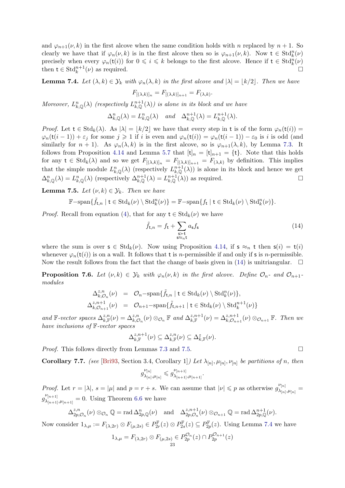and  $\varphi_{n+1}(\nu, k)$  in the first alcove when the same condition holds with n replaced by  $n + 1$ . So clearly we have that if  $\varphi_n(\nu, k)$  is in the first alcove then so is  $\varphi_{n+1}(\nu, k)$ . Now  $t \in \text{Std}_k^n(\nu)$ precisely when every  $\varphi_n(\mathsf{t}(i))$  for  $0 \leq i \leq k$  belongs to the first alcove. Hence if  $\mathsf{t} \in \text{Std}_k^n(\nu)$ then  $t \in \text{Std}_{k}^{n+1}(\nu)$  as required.

**Lemma 7.4.** Let  $(\lambda, k) \in \mathcal{Y}_k$  with  $\varphi_n(\lambda, k)$  in the first alcove and  $|\lambda| = |k/2|$ . Then we have

$$
F_{[(\lambda,k)]_n} = F_{[(\lambda,k)]_{n+1}} = F_{(\lambda,k)}.
$$

Moreover,  $L_{k,\mathbb{Q}}^n(\lambda)$  (respectively  $L_{k,\mathbb{Q}}^{n+1}(\lambda)$ ) is alone in its block and we have

<span id="page-23-9"></span>
$$
\Delta_{k,\mathbb{Q}}^n(\lambda) = L_{k,\mathbb{Q}}^n(\lambda) \quad \text{and} \quad \Delta_{k,\mathbb{Q}}^{n+1}(\lambda) = L_{k,\mathbb{Q}}^{n+1}(\lambda).
$$

Proof. Let  $t \in \text{Std}_k(\lambda)$ . As  $|\lambda| = \lfloor k/2 \rfloor$  we have that every step in t is of the form  $\varphi_n(t(i)) =$  $\varphi_n(\mathsf{t}(i-1)) + \varepsilon_j$  for some  $j \geq 1$  if i is even and  $\varphi_n(\mathsf{t}(i)) = \varphi_n(\mathsf{t}(i-1)) - \varepsilon_0$  is i is odd (and similarly for  $n + 1$ ). As  $\varphi_n(\lambda, k)$  is in the first alcove, so is  $\varphi_{n+1}(\lambda, k)$ , by Lemma [7.3.](#page-21-1) It follows from Proposition [4.14](#page-12-2) and Lemma [5.7](#page-17-0) that  $[t]_n = [t]_{n+1} = \{t\}$ . Note that this holds for any  $t \in \text{Std}_k(\lambda)$  and so we get  $F_{[(\lambda,k)]_n} = F_{[(\lambda,k)]_{n+1}} = F_{(\lambda,k)}$  by definition. This implies that the simple module  $L_{k,\mathbb{Q}}^n(\lambda)$  (respectively  $L_{k,\mathbb{Q}}^{n+1}(\lambda)$ ) is alone in its block and hence we get  $\Delta_{k,\mathbb{Q}}^n(\lambda) = L_{k,\mathbb{Q}}^n(\lambda)$  (respectively  $\Delta_{k,\mathbb{Q}}^{n+1}(\lambda) = L_{k,\mathbb{Q}}^{n+1}(\lambda)$ ) as required.

**Lemma 7.5.** Let  $(\nu, k) \in \mathcal{Y}_k$ . Then we have

<span id="page-23-10"></span>
$$
\mathbb{F}-\mathrm{span}\{\tilde{f}_{\mathsf{t},n}\mid \mathsf{t}\in \mathrm{Std}_{k}(\nu)\setminus \mathrm{Std}_{k}^{n}(\nu)\}=\mathbb{F}-\mathrm{span}\{f_{\mathsf{t}}\mid \mathsf{t}\in \mathrm{Std}_{k}(\nu)\setminus \mathrm{Std}_{k}^{n}(\nu)\}.
$$

*Proof.* Recall from equation [\(4\)](#page-8-4), that for any  $t \in Std_k(\nu)$  we have

$$
\tilde{f}_{t,n} = f_t + \sum_{\substack{\mathbf{s} \succ \mathbf{t} \\ \mathbf{s} \approx_n \mathbf{t}}} a_{\mathbf{s}} f_{\mathbf{s}} \tag{14}
$$

<span id="page-23-1"></span>where the sum is over  $s \in \text{Std}_k(\nu)$ . Now using Proposition [4.14,](#page-12-2) if  $s \approx_n t$  then  $s(i) = t(i)$ whenever  $\varphi_n(\mathsf{t}(i))$  is on a wall. It follows that t is *n*-permissible if and only if **s** is *n*-permissible. Now the result follows from the fact that the change of basis given in [\(14\)](#page-22-0) is unitriangular.  $\square$ 

<span id="page-23-6"></span>**Proposition 7.6.** Let  $(\nu, k) \in \mathcal{Y}_k$  with  $\varphi_n(\nu, k)$  in the first alcove. Define  $\mathcal{O}_n$ - and  $\mathcal{O}_{n+1}$ modules

$$
\Delta_{k,\mathcal{O}_n}^{z,n}(\nu) = \mathcal{O}_n - \text{span}\{\tilde{f}_{\mathbf{t},n} \mid \mathbf{t} \in \text{Std}_k(\nu) \setminus \text{Std}_k^n(\nu)\},
$$
  

$$
\Delta_{k,\mathcal{O}_{n+1}}^{z,n+1}(\nu) = \mathcal{O}_{n+1} - \text{span}\{\tilde{f}_{\mathbf{t},n+1} \mid \mathbf{t} \in \text{Std}_k(\nu) \setminus \text{Std}_k^{n+1}(\nu)\}
$$

<span id="page-23-8"></span><span id="page-23-0"></span>and  $\mathbb{F}\text{-vector spaces }\Delta^{z,n}_{k,\mathbb{F}}$  $\mathcal{L}_{k,\mathbb{F}}^{z,n}(\nu) = \Delta_{k,\mathcal{O}_n}^{z,n}(\nu) \otimes_{\mathcal{O}_n} \mathbb{F}$  and  $\Delta_{k,\mathbb{F}}^{z,n+1}$  $z_{k,\mathbb{F}}^{z,n+1}(\nu) = \Delta_{k,\mathcal{O}_{n+1}}^{z,n+1}(\nu) \otimes_{\mathcal{O}_{n+1}} \mathbb{F}$ . Then we have inclusions of F-vector spaces

$$
\Delta_{k,\mathbb{F}}^{z,n+1}(\nu) \subseteq \Delta_{k,\mathbb{F}}^{z,n}(\nu) \subseteq \Delta_{k,\mathbb{F}}^{z}(\nu).
$$

<span id="page-23-7"></span><span id="page-23-5"></span>*Proof.* This follows directly from Lemmas [7.3](#page-21-1) and [7.5.](#page-22-1)  $\Box$ 

**Corollary 7.7.** (see [\[Bri93,](#page-23-5) Section 3.4, Corollary 1]) Let  $\lambda_{[n]}, \mu_{[n]}, \nu_{[n]}$  be partitions of n, then

$$
g_{\lambda_{[n]},\mu_{[n]}}^{\nu_{[n]}}\leqslant g_{\lambda_{[n+1]},\mu_{[n+1]}}^{\nu_{[n+1]}}
$$

.

<span id="page-23-4"></span>*Proof.* Let  $r = |\lambda|$ ,  $s = |\mu|$  and  $p = r + s$ . We can assume that  $|\nu| \leqslant p$  as otherwise  $g_{\lambda}^{\nu_{[n]}}$  $\mu_{[\lambda_{[n]},\mu_{[n]}]}^{\nu_{[n]}} =$  $g_{\lambda_1}^{\nu_{[n+1]}}$  $\lambda_{[n+1],\mu_{[n+1]}}^{[n+1]} = 0$ . Using Theorem [6.6](#page-19-0) we have

$$
\Delta_{2p,\mathcal{O}_n}^{z,n}(\nu)\otimes_{\mathcal{O}_n}\mathbb{Q}=\text{rad}\,\Delta_{2p,\mathbb{Q}}^n(\nu)\quad\text{and}\quad\Delta_{2p,\mathcal{O}_n}^{z,n+1}(\nu)\otimes_{\mathcal{O}_{n+1}}\mathbb{Q}=\text{rad}\,\Delta_{2p,\mathbb{Q}}^{n+1}(\nu).
$$

<span id="page-23-3"></span><span id="page-23-2"></span>Now consider  $1_{\lambda,\mu} := F_{(\lambda,2r)} \otimes F_{(\mu,2s)} \in P_{2r}^{\mathbb{F}}(z) \otimes P_{2s}^{\mathbb{F}}(z) \subseteq P_{2p}^{\mathbb{F}}(z)$ . Using Lemma [7.4](#page-22-2) we have

$$
1_{\lambda,\mu} = F_{(\lambda,2r)} \otimes F_{(\mu,2s)} \in P_{2p}^{\mathcal{O}_n}(z) \cap P_{2p}^{\mathcal{O}_{n+1}}(z)
$$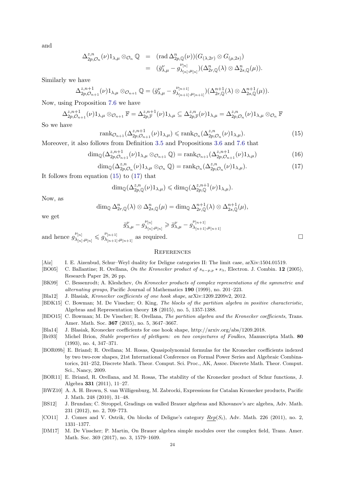<span id="page-24-12"></span><span id="page-24-1"></span>and

$$
\Delta_{2p,\mathcal{O}_n}^{z,n}(\nu)1_{\lambda,\mu}\otimes_{\mathcal{O}_n}\mathbb{Q} = (\text{rad }\Delta_{2p,\mathbb{Q}}^n(\nu))(G_{(\lambda,2r)}\otimes G_{(\mu,2s)})
$$
  

$$
= (\bar{g}_{\lambda,\mu}^{\nu} - g_{\lambda_{[n]},\mu_{[n]}}^{\nu_{[n]}})(\Delta_{2r,\mathbb{Q}}^n(\lambda)\otimes \Delta_{2s,\mathbb{Q}}^n(\mu)).
$$

<span id="page-24-9"></span><span id="page-24-7"></span><span id="page-24-0"></span>Similarly we have

$$
\Delta_{2p,\mathcal{O}_{n+1}}^{z,n+1}(\nu)1_{\lambda,\mu}\otimes_{\mathcal{O}_{n+1}}\mathbb{Q}=(\bar{g}_{\lambda,\mu}^{\nu}-g_{\lambda_{[n+1]},\mu_{[n+1]}}^{\nu_{[n+1]}})(\Delta_{2r,\mathbb{Q}}^{n+1}(\lambda)\otimes \Delta_{2s,\mathbb{Q}}^{n+1}(\mu)).
$$

<span id="page-24-14"></span><span id="page-24-8"></span>Now, using Proposition [7.6](#page-22-3) we have

$$
\Delta^{z,n+1}_{2p,\mathcal{O}_{n+1}}(\nu)1_{\lambda,\mu}\otimes_{\mathcal{O}_{n+1}}\mathbb{F}=\Delta^{z,n+1}_{2p,\mathbb{F}}(\nu)1_{\lambda,\mu}\subseteq \Delta^{z,n}_{2p,\mathbb{F}}(\nu)1_{\lambda,\mu}=\Delta^{z,n}_{2p,\mathcal{O}_n}(\nu)1_{\lambda,\mu}\otimes_{\mathcal{O}_n}\mathbb{F}
$$

<span id="page-24-2"></span>So we have

$$
\operatorname{rank}_{\mathcal{O}_{n+1}}(\Delta_{2p,\mathcal{O}_{n+1}}^{z,n+1}(\nu)\mathbf{1}_{\lambda,\mu}) \leqslant \operatorname{rank}_{\mathcal{O}_n}(\Delta_{2p,\mathcal{O}_n}^{z,n}(\nu)\mathbf{1}_{\lambda,\mu}).\tag{15}
$$

<span id="page-24-11"></span>Moreover, it also follows from Definition [3.5](#page-8-5) and Propositions [3.6](#page-8-3) and [7.6](#page-22-3) that

$$
\dim_{\mathbb{Q}}(\Delta_{2p,\mathcal{O}_{n+1}}^{z,n+1}(\nu)1_{\lambda,\mu}\otimes_{\mathcal{O}_{n+1}}\mathbb{Q})=\operatorname{rank}_{\mathcal{O}_{n+1}}(\Delta_{2p,\mathcal{O}_{n+1}}^{z,n+1}(\nu)1_{\lambda,\mu})
$$
(16)

$$
\dim_{\mathbb{Q}}(\Delta^{z,n}_{2p,\mathcal{O}_n}(\nu)1_{\lambda,\mu}\otimes_{\mathcal{O}_n}\mathbb{Q})=\text{rank}_{\mathcal{O}_n}(\Delta^{z,n}_{2p,\mathcal{O}_n}(\nu)1_{\lambda,\mu}).\tag{17}
$$

<span id="page-24-13"></span>It follows from equation [\(15\)](#page-23-9) to [\(17\)](#page-23-10) that

$$
\dim_{\mathbb{Q}}(\Delta^{z,n}_{2p,\mathbb{Q}}(\nu)1_{\lambda,\mu}) \leq \dim_{\mathbb{Q}}(\Delta^{z,n+1}_{2p,\mathbb{Q}}(\nu)1_{\lambda,\mu}).
$$

<span id="page-24-15"></span><span id="page-24-10"></span>Now, as

$$
\dim_{\mathbb{Q}} \Delta_{2r,\mathbb{Q}}^n(\lambda) \otimes \Delta_{2s,\mathbb{Q}}^n(\mu) = \dim_{\mathbb{Q}} \Delta_{2r,\mathbb{Q}}^{n+1}(\lambda) \otimes \Delta_{2s,\mathbb{Q}}^{n+1}(\mu),
$$

we get

$$
\bar{g}_{\lambda,\mu}^{\nu}-g_{\lambda_{[n]},\mu_{[n]}}^{\nu_{[n]}}\geqslant\bar{g}_{\lambda,\mu}^{\nu}-g_{\lambda_{[n+1]},\mu_{[n+1]}}^{\nu_{[n+1]}}
$$

<span id="page-24-5"></span>and hence  $g_{\lambda_{i}}^{\nu_{[n]}}$  $\frac{\left|\nu_{[n]}\right|}{\lambda_{[n]},\mu_{[n]}}\leqslant g_{\lambda_{[n+1]}}^{\nu_{[n+1]}}$  $\lambda_{[n+1],\mu_{[n+1]}}$  as required.

#### **REFERENCES**

- <span id="page-24-4"></span>[Aiz] I. E. Aizenbud, Schur–Weyl duality for Deligne categories II: The limit case, arXiv:1504.01519.
- <span id="page-24-6"></span>[BO05] C. Ballantine; R. Orellana, On the Kronecker product of  $s_{n-p,p} * s_\lambda$ , Electron. J. Combin. 12 (2005), Research Paper 28, 26 pp.
- <span id="page-24-3"></span>[BK99] C. Bessenrodt; A. Kleshchev, On Kronecker products of complex representations of the symmetric and alternating groups, Pacific Journal of Mathematics 190 (1999), no. 201–223.
- <span id="page-24-16"></span>[Bla12] J. Blasiak, Kronecker coefficients of one hook shape, arXiv:1209.2209v2, 2012.
- [BDK15] C. Bowman; M. De Visscher; O. King, The blocks of the partition algebra in positive characteristic, Algebras and Representation theory 18 (2015), no. 5, 1357-1388.
- [BDO15] C. Bowman; M. De Visscher; R. Orellana, The partition algebra and the Kronecker coefficients, Trans. Amer. Math. Soc. 367 (2015), no. 5, 3647–3667.
- [Bla14] J. Blasiak, Kronecker coefficients for one hook shape, http://arxiv.org/abs/1209.2018.
- [Bri93] Michel Brion, Stable properties of plethysm: on two conjectures of Foulkes, Manuscripta Math. 80 (1993), no. 4, 347–371.
- [BOR09b] E. Briand; R. Orellana; M. Rosas, Quasipolynomial formulas for the Kronecker coefficients indexed by two two-row shapes, 21st International Conference on Formal Power Series and Algebraic Combinatorics, 241–252, Discrete Math. Theor. Comput. Sci. Proc., AK, Assoc. Discrete Math. Theor. Comput. Sci., Nancy, 2009.
- [BOR11] E. Briand, R. Orellana, and M. Rosas, The stability of the Kronecker product of Schur functions, J. Algebra 331 (2011), 11–27.
- [BWZ10] A. A. H. Brown, S. van Willigenburg, M. Zabrocki, Expressions for Catalan Kronecker products, Pacific J. Math. 248 (2010), 31–48.
- [BS12] J. Brundan; C. Stroppel, Gradings on walled Brauer algebras and Khovanov's arc algebra, Adv. Math. 231 (2012), no. 2, 709–773.
- [CO11] J. Comes and V. Ostrik, On blocks of Deligne's category  $Rep(S_t)$ , Adv. Math. 226 (2011), no. 2, 1331–1377.
- [DM17] M. De Visscher; P. Martin, On Brauer algebra simple modules over the complex field, Trans. Amer. Math. Soc. 369 (2017), no. 3, 1579–1609.